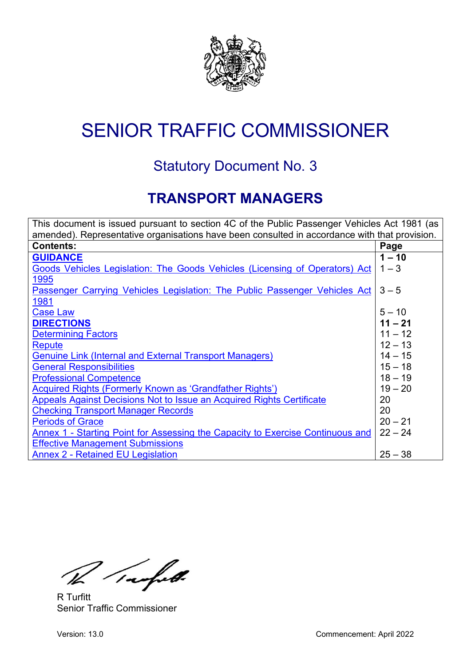

# SENIOR TRAFFIC COMMISSIONER

## Statutory Document No. 3

## **TRANSPORT MANAGERS**

<span id="page-0-0"></span>

| This document is issued pursuant to section 4C of the Public Passenger Vehicles Act 1981 (as  |           |  |
|-----------------------------------------------------------------------------------------------|-----------|--|
| amended). Representative organisations have been consulted in accordance with that provision. |           |  |
| <b>Contents:</b>                                                                              | Page      |  |
| <b>GUIDANCE</b>                                                                               | $1 - 10$  |  |
| Goods Vehicles Legislation: The Goods Vehicles (Licensing of Operators) Act                   | $1 - 3$   |  |
| 1995                                                                                          |           |  |
| Passenger Carrying Vehicles Legislation: The Public Passenger Vehicles Act                    | $3 - 5$   |  |
| 1981                                                                                          |           |  |
| <b>Case Law</b>                                                                               | $5 - 10$  |  |
| <b>DIRECTIONS</b>                                                                             | $11 - 21$ |  |
| <b>Determining Factors</b>                                                                    | $11 - 12$ |  |
| <b>Repute</b>                                                                                 | $12 - 13$ |  |
| <b>Genuine Link (Internal and External Transport Managers)</b>                                | $14 - 15$ |  |
| <b>General Responsibilities</b>                                                               | $15 - 18$ |  |
| <b>Professional Competence</b>                                                                | $18 - 19$ |  |
| Acquired Rights (Formerly Known as 'Grandfather Rights')                                      | $19 - 20$ |  |
| Appeals Against Decisions Not to Issue an Acquired Rights Certificate                         | 20        |  |
| <b>Checking Transport Manager Records</b>                                                     | 20        |  |
| <b>Periods of Grace</b>                                                                       | $20 - 21$ |  |
| Annex 1 - Starting Point for Assessing the Capacity to Exercise Continuous and                | $22 - 24$ |  |
| <b>Effective Management Submissions</b>                                                       |           |  |
| <b>Annex 2 - Retained EU Legislation</b>                                                      | $25 - 38$ |  |

Tachet.

R Turfitt Senior Traffic Commissioner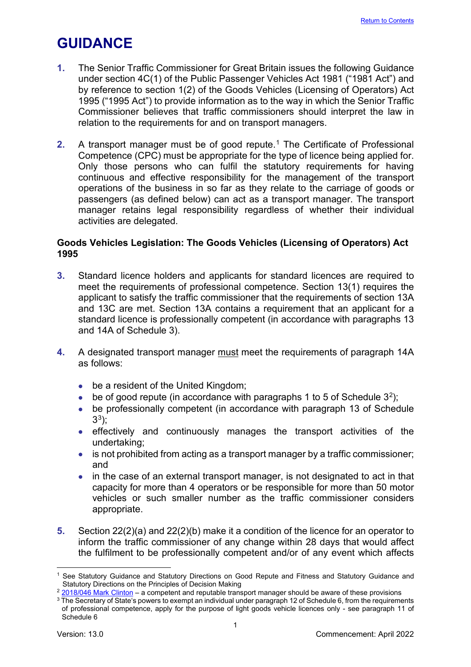## <span id="page-1-0"></span>**GUIDANCE**

- **1.** The Senior Traffic Commissioner for Great Britain issues the following Guidance under section 4C(1) of the Public Passenger Vehicles Act 1981 ("1981 Act") and by reference to section 1(2) of the Goods Vehicles (Licensing of Operators) Act 1995 ("1995 Act") to provide information as to the way in which the Senior Traffic Commissioner believes that traffic commissioners should interpret the law in relation to the requirements for and on transport managers.
- **2.** A transport manager must be of good repute.<sup>[1](#page-1-2)</sup> The Certificate of Professional Competence (CPC) must be appropriate for the type of licence being applied for. Only those persons who can fulfil the statutory requirements for having continuous and effective responsibility for the management of the transport operations of the business in so far as they relate to the carriage of goods or passengers (as defined below) can act as a transport manager. The transport manager retains legal responsibility regardless of whether their individual activities are delegated.

## <span id="page-1-1"></span>**Goods Vehicles Legislation: The Goods Vehicles (Licensing of Operators) Act 1995**

- **3.** Standard licence holders and applicants for standard licences are required to meet the requirements of professional competence. Section 13(1) requires the applicant to satisfy the traffic commissioner that the requirements of section 13A and 13C are met. Section 13A contains a requirement that an applicant for a standard licence is professionally competent (in accordance with paragraphs 13 and 14A of Schedule 3).
- **4.** A designated transport manager must meet the requirements of paragraph 14A as follows:
	- be a resident of the United Kingdom;
	- be of good repute (in accordance with paragraphs 1 to 5 of Schedule  $3^2$ );
	- be professionally competent (in accordance with paragraph 13 of Schedule  $3^3$  $3^3$ :
	- effectively and continuously manages the transport activities of the undertaking;
	- is not prohibited from acting as a transport manager by a traffic commissioner; and
	- in the case of an external transport manager, is not designated to act in that capacity for more than 4 operators or be responsible for more than 50 motor vehicles or such smaller number as the traffic commissioner considers appropriate.
- **5.** Section 22(2)(a) and 22(2)(b) make it a condition of the licence for an operator to inform the traffic commissioner of any change within 28 days that would affect the fulfilment to be professionally competent and/or of any event which affects

<span id="page-1-2"></span><sup>1</sup> See Statutory Guidance and Statutory Directions on Good Repute and Fitness and Statutory Guidance and Statutory Directions on the Principles of Decision Making

<span id="page-1-3"></span> $2$  [2018/046 Mark Clinton](https://www.gov.uk/administrative-appeals-tribunal-decisions/mark-clinton-2018-ukut-0438-aac) – a competent and reputable transport manager should be aware of these provisions

<span id="page-1-4"></span><sup>&</sup>lt;sup>3</sup> The Secretary of State's powers to exempt an individual under paragraph 12 of Schedule 6, from the requirements of professional competence, apply for the purpose of light goods vehicle licences only - see paragraph 11 of Schedule 6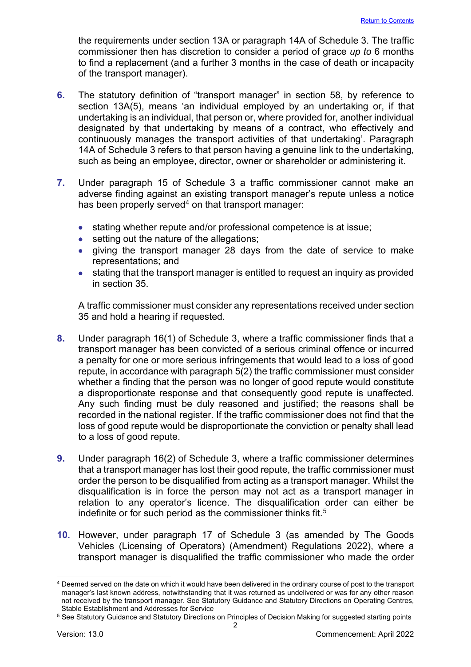the requirements under section 13A or paragraph 14A of Schedule 3. The traffic commissioner then has discretion to consider a period of grace *up to* 6 months to find a replacement (and a further 3 months in the case of death or incapacity of the transport manager).

- **6.** The statutory definition of "transport manager" in section 58, by reference to section 13A(5), means 'an individual employed by an undertaking or, if that undertaking is an individual, that person or, where provided for, another individual designated by that undertaking by means of a contract, who effectively and continuously manages the transport activities of that undertaking'. Paragraph 14A of Schedule 3 refers to that person having a genuine link to the undertaking, such as being an employee, director, owner or shareholder or administering it.
- **7.** Under paragraph 15 of Schedule 3 a traffic commissioner cannot make an adverse finding against an existing transport manager's repute unless a notice has been properly served<sup>[4](#page-2-0)</sup> on that transport manager:
	- stating whether repute and/or professional competence is at issue;
	- setting out the nature of the allegations;
	- giving the transport manager 28 days from the date of service to make representations; and
	- stating that the transport manager is entitled to request an inquiry as provided in section 35.

A traffic commissioner must consider any representations received under section 35 and hold a hearing if requested.

- **8.** Under paragraph 16(1) of Schedule 3, where a traffic commissioner finds that a transport manager has been convicted of a serious criminal offence or incurred a penalty for one or more serious infringements that would lead to a loss of good repute, in accordance with paragraph 5(2) the traffic commissioner must consider whether a finding that the person was no longer of good repute would constitute a disproportionate response and that consequently good repute is unaffected. Any such finding must be duly reasoned and justified; the reasons shall be recorded in the national register. If the traffic commissioner does not find that the loss of good repute would be disproportionate the conviction or penalty shall lead to a loss of good repute.
- **9.** Under paragraph 16(2) of Schedule 3, where a traffic commissioner determines that a transport manager has lost their good repute, the traffic commissioner must order the person to be disqualified from acting as a transport manager. Whilst the disqualification is in force the person may not act as a transport manager in relation to any operator's licence. The disqualification order can either be indefinite or for such period as the commissioner thinks fit.<sup>[5](#page-2-1)</sup>
- **10.** However, under paragraph 17 of Schedule 3 (as amended by The Goods Vehicles (Licensing of Operators) (Amendment) Regulations 2022), where a transport manager is disqualified the traffic commissioner who made the order

<span id="page-2-0"></span><sup>4</sup> Deemed served on the date on which it would have been delivered in the ordinary course of post to the transport manager's last known address, notwithstanding that it was returned as undelivered or was for any other reason not received by the transport manager. See Statutory Guidance and Statutory Directions on Operating Centres, Stable Establishment and Addresses for Service

<span id="page-2-1"></span><sup>&</sup>lt;sup>5</sup> See Statutory Guidance and Statutory Directions on Principles of Decision Making for suggested starting points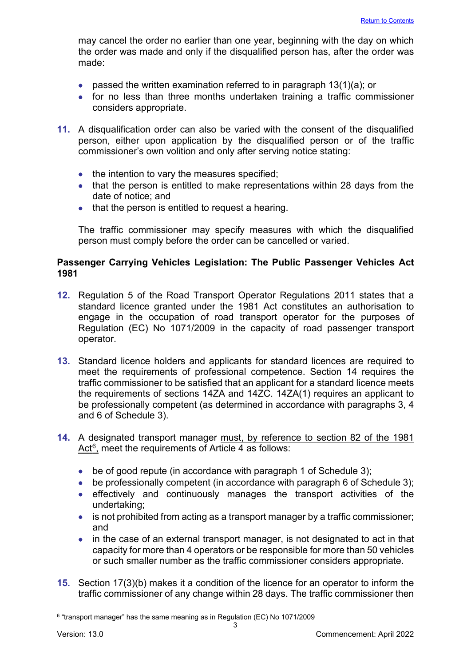may cancel the order no earlier than one year, beginning with the day on which the order was made and only if the disqualified person has, after the order was made:

- passed the written examination referred to in paragraph  $13(1)(a)$ ; or
- for no less than three months undertaken training a traffic commissioner considers appropriate.
- **11.** A disqualification order can also be varied with the consent of the disqualified person, either upon application by the disqualified person or of the traffic commissioner's own volition and only after serving notice stating:
	- the intention to vary the measures specified;
	- that the person is entitled to make representations within 28 days from the date of notice; and
	- that the person is entitled to request a hearing.

The traffic commissioner may specify measures with which the disqualified person must comply before the order can be cancelled or varied.

## <span id="page-3-0"></span>**Passenger Carrying Vehicles Legislation: The Public Passenger Vehicles Act 1981**

- **12.** Regulation 5 of the Road Transport Operator Regulations 2011 states that a standard licence granted under the 1981 Act constitutes an authorisation to engage in the occupation of road transport operator for the purposes of Regulation (EC) No 1071/2009 in the capacity of road passenger transport operator.
- **13.** Standard licence holders and applicants for standard licences are required to meet the requirements of professional competence. Section 14 requires the traffic commissioner to be satisfied that an applicant for a standard licence meets the requirements of sections 14ZA and 14ZC. 14ZA(1) requires an applicant to be professionally competent (as determined in accordance with paragraphs 3, 4 and 6 of Schedule 3).
- **14.** A designated transport manager must, by reference to section 82 of the 1981 Act $6$ , meet the requirements of Article 4 as follows:
	- be of good repute (in accordance with paragraph 1 of Schedule 3);
	- be professionally competent (in accordance with paragraph 6 of Schedule 3);
	- effectively and continuously manages the transport activities of the undertaking;
	- is not prohibited from acting as a transport manager by a traffic commissioner; and
	- in the case of an external transport manager, is not designated to act in that capacity for more than 4 operators or be responsible for more than 50 vehicles or such smaller number as the traffic commissioner considers appropriate.
- **15.** Section 17(3)(b) makes it a condition of the licence for an operator to inform the traffic commissioner of any change within 28 days. The traffic commissioner then

<span id="page-3-1"></span><sup>6</sup> "transport manager" has the same meaning as in Regulation (EC) No 1071/2009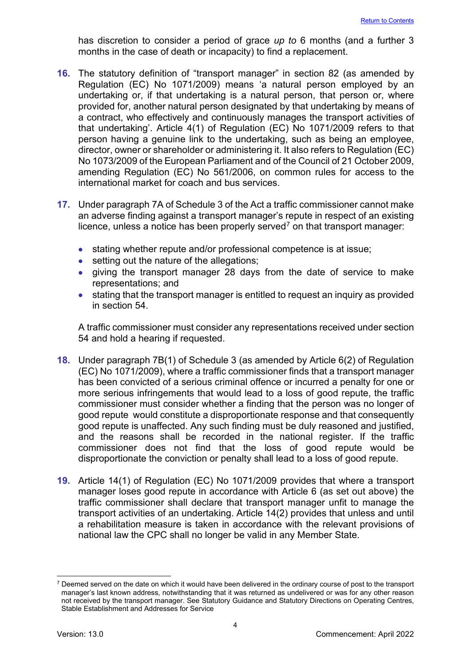has discretion to consider a period of grace *up to* 6 months (and a further 3 months in the case of death or incapacity) to find a replacement.

- **16.** The statutory definition of "transport manager" in section 82 (as amended by Regulation (EC) No 1071/2009) means 'a natural person employed by an undertaking or, if that undertaking is a natural person, that person or, where provided for, another natural person designated by that undertaking by means of a contract, who effectively and continuously manages the transport activities of that undertaking'. Article 4(1) of Regulation (EC) No 1071/2009 refers to that person having a genuine link to the undertaking, such as being an employee, director, owner or shareholder or administering it. It also refers to Regulation (EC) No 1073/2009 of the European Parliament and of the Council of 21 October 2009, amending Regulation (EC) No 561/2006, on common rules for access to the international market for coach and bus services.
- **17.** Under paragraph 7A of Schedule 3 of the Act a traffic commissioner cannot make an adverse finding against a transport manager's repute in respect of an existing licence, unless a notice has been properly served<sup>[7](#page-4-0)</sup> on that transport manager:
	- stating whether repute and/or professional competence is at issue;
	- setting out the nature of the allegations;
	- giving the transport manager 28 days from the date of service to make representations; and
	- stating that the transport manager is entitled to request an inquiry as provided in section 54.

A traffic commissioner must consider any representations received under section 54 and hold a hearing if requested.

- **18.** Under paragraph 7B(1) of Schedule 3 (as amended by Article 6(2) of Regulation (EC) No 1071/2009), where a traffic commissioner finds that a transport manager has been convicted of a serious criminal offence or incurred a penalty for one or more serious infringements that would lead to a loss of good repute, the traffic commissioner must consider whether a finding that the person was no longer of good repute would constitute a disproportionate response and that consequently good repute is unaffected. Any such finding must be duly reasoned and justified, and the reasons shall be recorded in the national register. If the traffic commissioner does not find that the loss of good repute would be disproportionate the conviction or penalty shall lead to a loss of good repute.
- **19.** Article 14(1) of Regulation (EC) No 1071/2009 provides that where a transport manager loses good repute in accordance with Article 6 (as set out above) the traffic commissioner shall declare that transport manager unfit to manage the transport activities of an undertaking. Article 14(2) provides that unless and until a rehabilitation measure is taken in accordance with the relevant provisions of national law the CPC shall no longer be valid in any Member State.

<span id="page-4-0"></span> $7$  Deemed served on the date on which it would have been delivered in the ordinary course of post to the transport manager's last known address, notwithstanding that it was returned as undelivered or was for any other reason not received by the transport manager. See Statutory Guidance and Statutory Directions on Operating Centres, Stable Establishment and Addresses for Service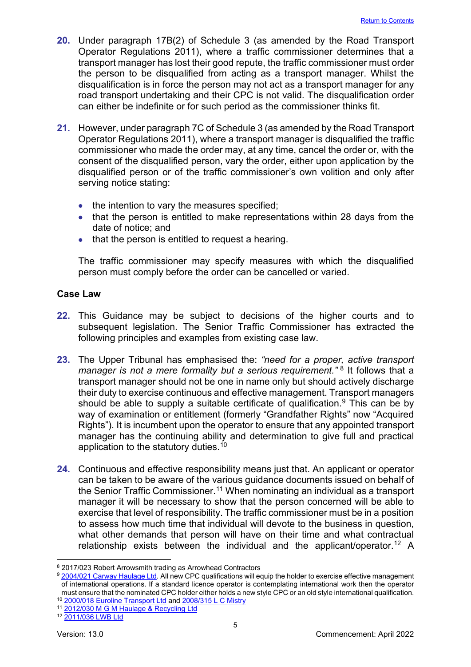- **20.** Under paragraph 17B(2) of Schedule 3 (as amended by the Road Transport Operator Regulations 2011), where a traffic commissioner determines that a transport manager has lost their good repute, the traffic commissioner must order the person to be disqualified from acting as a transport manager. Whilst the disqualification is in force the person may not act as a transport manager for any road transport undertaking and their CPC is not valid. The disqualification order can either be indefinite or for such period as the commissioner thinks fit.
- **21.** However, under paragraph 7C of Schedule 3 (as amended by the Road Transport Operator Regulations 2011), where a transport manager is disqualified the traffic commissioner who made the order may, at any time, cancel the order or, with the consent of the disqualified person, vary the order, either upon application by the disqualified person or of the traffic commissioner's own volition and only after serving notice stating:
	- the intention to vary the measures specified;
	- that the person is entitled to make representations within 28 days from the date of notice; and
	- that the person is entitled to request a hearing.

The traffic commissioner may specify measures with which the disqualified person must comply before the order can be cancelled or varied.

#### <span id="page-5-0"></span>**Case Law**

- **22.** This Guidance may be subject to decisions of the higher courts and to subsequent legislation. The Senior Traffic Commissioner has extracted the following principles and examples from existing case law.
- **23.** The Upper Tribunal has emphasised the: *"need for a proper, active transport manager is not a mere formality but a serious requirement.*"<sup>[8](#page-5-1)</sup> It follows that a transport manager should not be one in name only but should actively discharge their duty to exercise continuous and effective management. Transport managers should be able to supply a suitable certificate of qualification.<sup>[9](#page-5-2)</sup> This can be by way of examination or entitlement (formerly "Grandfather Rights" now "Acquired Rights"). It is incumbent upon the operator to ensure that any appointed transport manager has the continuing ability and determination to give full and practical application to the statutory duties.<sup>[10](#page-5-3)</sup>
- **24.** Continuous and effective responsibility means just that. An applicant or operator can be taken to be aware of the various guidance documents issued on behalf of the Senior Traffic Commissioner.<sup>[11](#page-5-4)</sup> When nominating an individual as a transport manager it will be necessary to show that the person concerned will be able to exercise that level of responsibility. The traffic commissioner must be in a position to assess how much time that individual will devote to the business in question, what other demands that person will have on their time and what contractual relationship exists between the individual and the applicant/operator. [12](#page-5-5) A

<span id="page-5-1"></span><sup>8</sup> 2017/023 Robert Arrowsmith trading as Arrowhead Contractors

<span id="page-5-2"></span><sup>&</sup>lt;sup>9</sup> [2004/021 Carway Haulage Ltd.](http://transportappeals.decisions.tribunals.gov.uk/Aspx/view.aspx?id=312) All new CPC qualifications will equip the holder to exercise effective management of international operations. If a standard licence operator is contemplating international work then the operator must ensure th[a](http://transportappeals.decisions.tribunals.gov.uk/Aspx/view.aspx?id=19)t the nominated CPC holder either holds a new style CPC or an old style international qualification.<br>
<sup>10</sup> <u>2000/018 Euroline Transport Ltd</u> and <u>2008/315 L C Mistry</u><br>
<sup>11</sup> 2012/030 M G M Haulage & Recycling

<span id="page-5-4"></span><span id="page-5-3"></span>

<span id="page-5-5"></span>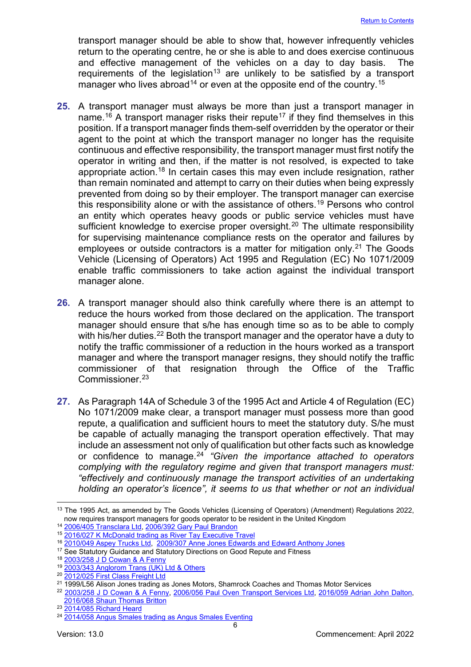transport manager should be able to show that, however infrequently vehicles return to the operating centre, he or she is able to and does exercise continuous and effective management of the vehicles on a day to day basis. The requirements of the legislation<sup>[13](#page-6-0)</sup> are unlikely to be satisfied by a transport manager who lives abroad<sup>[14](#page-6-1)</sup> or even at the opposite end of the country.<sup>[15](#page-6-2)</sup>

- **25.** A transport manager must always be more than just a transport manager in name.<sup>[16](#page-6-3)</sup> A transport manager risks their repute<sup>[17](#page-6-4)</sup> if they find themselves in this position. If a transport manager finds them-self overridden by the operator or their agent to the point at which the transport manager no longer has the requisite continuous and effective responsibility, the transport manager must first notify the operator in writing and then, if the matter is not resolved, is expected to take appropriate action.<sup>[18](#page-6-5)</sup> In certain cases this may even include resignation, rather than remain nominated and attempt to carry on their duties when being expressly prevented from doing so by their employer. The transport manager can exercise this responsibility alone or with the assistance of others.<sup>[19](#page-6-6)</sup> Persons who control an entity which operates heavy goods or public service vehicles must have sufficient knowledge to exercise proper oversight.<sup>[20](#page-6-7)</sup> The ultimate responsibility for supervising maintenance compliance rests on the operator and failures by employees or outside contractors is a matter for mitigation only.<sup>[21](#page-6-8)</sup> The Goods Vehicle (Licensing of Operators) Act 1995 and Regulation (EC) No 1071/2009 enable traffic commissioners to take action against the individual transport manager alone.
- **26.** A transport manager should also think carefully where there is an attempt to reduce the hours worked from those declared on the application. The transport manager should ensure that s/he has enough time so as to be able to comply with his/her duties.<sup>[22](#page-6-9)</sup> Both the transport manager and the operator have a duty to notify the traffic commissioner of a reduction in the hours worked as a transport manager and where the transport manager resigns, they should notify the traffic commissioner of that resignation through the Office of the Traffic Commissioner. [23](#page-6-10)
- **27.** As Paragraph 14A of Schedule 3 of the 1995 Act and Article 4 of Regulation (EC) No 1071/2009 make clear, a transport manager must possess more than good repute, a qualification and sufficient hours to meet the statutory duty. S/he must be capable of actually managing the transport operation effectively. That may include an assessment not only of qualification but other facts such as knowledge or confidence to manage.[24](#page-6-11) *"Given the importance attached to operators complying with the regulatory regime and given that transport managers must: "effectively and continuously manage the transport activities of an undertaking holding an operator's licence", it seems to us that whether or not an individual*

<span id="page-6-0"></span><sup>&</sup>lt;sup>13</sup> The 1995 Act, as amended by The Goods Vehicles (Licensing of Operators) (Amendment) Regulations 2022, now requires transport managers for goods operator to be resident in the United Kingdom

<sup>14</sup> [2006/405 Transclara Ltd,](http://transportappeals.decisions.tribunals.gov.uk/Aspx/view.aspx?id=631) [2006/392 Gary Paul Brandon](http://transportappeals.decisions.tribunals.gov.uk/Aspx/view.aspx?id=620)

<span id="page-6-2"></span><span id="page-6-1"></span><sup>15</sup> [2016/027 K McDonald trading as River Tay Executive Travel](https://www.gov.uk/administrative-appeals-tribunal-decisions/mr-k-mcdonald-t-a-river-tay-executive-travel-2017-ukut-195-aac)

<span id="page-6-3"></span><sup>&</sup>lt;sup>16</sup> [2010/049 Aspey Trucks Ltd,](http://transportappeals.decisions.tribunals.gov.uk/Aspx/view.aspx?id=1100) [2009/307 Anne Jones Edwards and Edward Anthony Jones](http://transportappeals.decisions.tribunals.gov.uk/Aspx/view.aspx?id=940)

<span id="page-6-4"></span><sup>&</sup>lt;sup>17</sup> See Statutory Guidance and Statutory Directions on Good Repute and Fitness <sup>18</sup> [2003/258 J D Cowan & A Fenny](http://transportappeals.decisions.tribunals.gov.uk/Aspx/view.aspx?id=243)

<span id="page-6-6"></span><span id="page-6-5"></span><sup>19</sup> [2003/343 Anglorom Trans \(UK\) Ltd & Others](http://transportappeals.decisions.tribunals.gov.uk/Aspx/view.aspx?id=297)

<span id="page-6-7"></span><sup>20</sup> [2012/025 First Class Freight Ltd](http://transportappeals.decisions.tribunals.gov.uk/Aspx/view.aspx?id=1292)

<span id="page-6-8"></span><sup>21</sup> 1999/L56 Alison Jones trading as Jones Motors, Shamrock Coaches and Thomas Motor Services

<span id="page-6-9"></span><sup>&</sup>lt;sup>22</sup> [2003/258 J D Cowan & A Fenny,](http://transportappeals.decisions.tribunals.gov.uk/Aspx/view.aspx?id=243) [2006/056 Paul Oven Transport Services Ltd,](http://transportappeals.decisions.tribunals.gov.uk/Aspx/view.aspx?id=534) [2016/059 Adrian John Dalton,](https://www.gov.uk/administrative-appeals-tribunal-decisions/adrian-john-dalton-2017-ukut-71-aac) [2016/068 Shaun Thomas Britton](https://www.gov.uk/administrative-appeals-tribunal-decisions/shaun-thomas-britton-2017-ukut-183-aac)

<span id="page-6-10"></span><sup>23</sup> [2014/085 Richard Heard](http://transportappeals.decisions.tribunals.gov.uk/Aspx/view.aspx?id=1537)

<span id="page-6-11"></span><sup>24</sup> [2014/058 Angus Smales trading as Angus Smales Eventing](http://transportappeals.decisions.tribunals.gov.uk/Aspx/view.aspx?id=1495)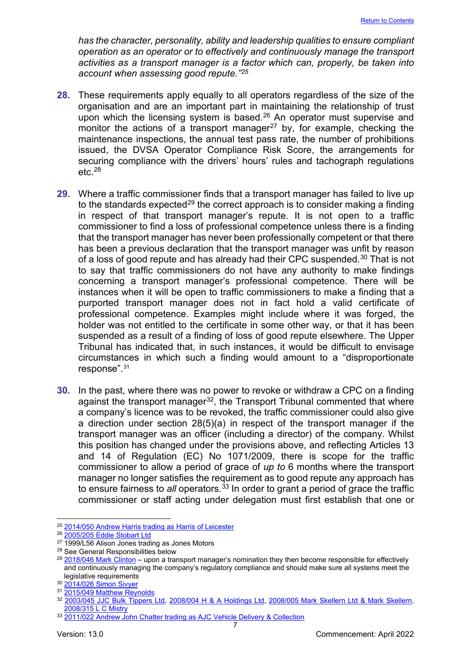*has the character, personality, ability and leadership qualities to ensure compliant operation as an operator or to effectively and continuously manage the transport activities as a transport manager is a factor which can, properly, be taken into account when assessing good repute."[25](#page-7-0)*

- **28.** These requirements apply equally to all operators regardless of the size of the organisation and are an important part in maintaining the relationship of trust upon which the licensing system is based.<sup>[26](#page-7-1)</sup> An operator must supervise and monitor the actions of a transport manager<sup>27</sup> by, for example, checking the maintenance inspections, the annual test pass rate, the number of prohibitions issued, the DVSA Operator Compliance Risk Score, the arrangements for securing compliance with the drivers' hours' rules and tachograph regulations etc. [28](#page-7-3)
- **29.** Where a traffic commissioner finds that a transport manager has failed to live up to the standards expected<sup>[29](#page-7-4)</sup> the correct approach is to consider making a finding in respect of that transport manager's repute. It is not open to a traffic commissioner to find a loss of professional competence unless there is a finding that the transport manager has never been professionally competent or that there has been a previous declaration that the transport manager was unfit by reason of a loss of good repute and has already had their CPC suspended.<sup>[30](#page-7-5)</sup> That is not to say that traffic commissioners do not have any authority to make findings concerning a transport manager's professional competence. There will be instances when it will be open to traffic commissioners to make a finding that a purported transport manager does not in fact hold a valid certificate of professional competence. Examples might include where it was forged, the holder was not entitled to the certificate in some other way, or that it has been suspended as a result of a finding of loss of good repute elsewhere. The Upper Tribunal has indicated that, in such instances, it would be difficult to envisage circumstances in which such a finding would amount to a "disproportionate response".[31](#page-7-6)
- **30.** In the past, where there was no power to revoke or withdraw a CPC on a finding against the transport manager<sup>[32](#page-7-7)</sup>, the Transport Tribunal commented that where a company's licence was to be revoked, the traffic commissioner could also give a direction under section 28(5)(a) in respect of the transport manager if the transport manager was an officer (including a director) of the company. Whilst this position has changed under the provisions above, and reflecting Articles 13 and 14 of Regulation (EC) No 1071/2009, there is scope for the traffic commissioner to allow a period of grace of *up to* 6 months where the transport manager no longer satisfies the requirement as to good repute any approach has to ensure fairness to *all* operators. [33](#page-7-8) In order to grant a period of grace the traffic commissioner or staff acting under delegation must first establish that one or

<span id="page-7-6"></span>31 [2015/049 Matthew Reynolds](http://administrativeappeals.decisions.tribunals.gov.uk/Aspx/view.aspx?id=4821)

<span id="page-7-0"></span><sup>25</sup> [2014/050 Andrew Harris trading as Harris of Leicester](http://transportappeals.decisions.tribunals.gov.uk/Aspx/view.aspx?id=1510)

<span id="page-7-1"></span><sup>26</sup> [2005/205 Eddie Stobart Ltd](http://transportappeals.decisions.tribunals.gov.uk/Aspx/view.aspx?id=423)

<span id="page-7-2"></span> $27 \overline{1999/156}$  Alison Jones trading as Jones Motors<br> $28$  See General Responsibilities below

<span id="page-7-4"></span><span id="page-7-3"></span><sup>&</sup>lt;sup>29</sup> [2018/046 Mark Clinton](https://www.gov.uk/administrative-appeals-tribunal-decisions/mark-clinton-2018-ukut-0438-aac) – upon a transport manager's nomination they then become responsible for effectively and continuously managing the company's regulatory compliance and should make sure all systems meet the legislative requirements

<span id="page-7-5"></span><sup>30</sup> [2014/026 Simon Sivyer](http://transportappeals.decisions.tribunals.gov.uk/Aspx/view.aspx?id=1491)

<span id="page-7-7"></span><sup>32</sup> [2003/045 JJC Bulk Tippers Ltd,](http://transportappeals.decisions.tribunals.gov.uk/Aspx/view.aspx?id=209) [2008/004 H & A Holdings Ltd,](http://transportappeals.decisions.tribunals.gov.uk/Aspx/view.aspx?id=760) [2008/005 Mark Skellern Ltd & Mark Skellern,](http://transportappeals.decisions.tribunals.gov.uk/Aspx/view.aspx?id=759) [2008/315 L C Mistry](http://transportappeals.decisions.tribunals.gov.uk/Aspx/view.aspx?id=810)

<span id="page-7-8"></span><sup>&</sup>lt;sup>33</sup> [2011/022 Andrew John Chatter trading as AJC Vehicle Delivery &](http://transportappeals.decisions.tribunals.gov.uk/Aspx/view.aspx?id=1187) Collection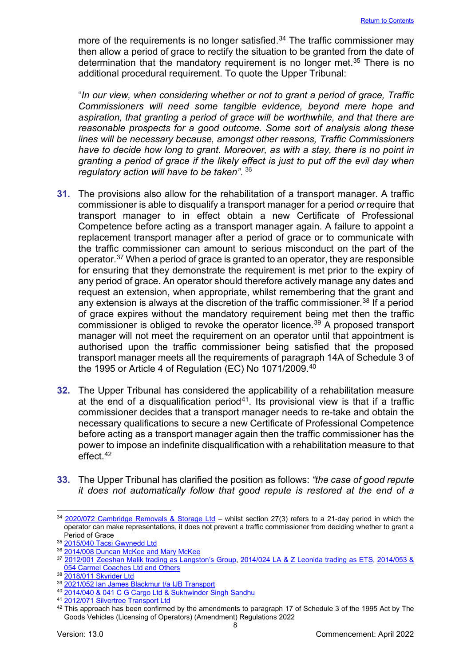more of the requirements is no longer satisfied.<sup>[34](#page-8-0)</sup> The traffic commissioner may then allow a period of grace to rectify the situation to be granted from the date of determination that the mandatory requirement is no longer met. [35](#page-8-1) There is no additional procedural requirement. To quote the Upper Tribunal:

"*In our view, when considering whether or not to grant a period of grace, Traffic Commissioners will need some tangible evidence, beyond mere hope and aspiration, that granting a period of grace will be worthwhile, and that there are reasonable prospects for a good outcome. Some sort of analysis along these lines will be necessary because, amongst other reasons, Traffic Commissioners*  have to decide how long to grant. Moreover, as with a stay, there is no point in *granting a period of grace if the likely effect is just to put off the evil day when regulatory action will have to be taken"*. [36](#page-8-2)

- **31.** The provisions also allow for the rehabilitation of a transport manager. A traffic commissioner is able to disqualify a transport manager for a period *or*require that transport manager to in effect obtain a new Certificate of Professional Competence before acting as a transport manager again. A failure to appoint a replacement transport manager after a period of grace or to communicate with the traffic commissioner can amount to serious misconduct on the part of the operator.<sup>[37](#page-8-3)</sup> When a period of grace is granted to an operator, they are responsible for ensuring that they demonstrate the requirement is met prior to the expiry of any period of grace. An operator should therefore actively manage any dates and request an extension, when appropriate, whilst remembering that the grant and any extension is always at the discretion of the traffic commissioner.<sup>38</sup> If a period of grace expires without the mandatory requirement being met then the traffic commissioner is obliged to revoke the operator licence.<sup>[39](#page-8-5)</sup> A proposed transport manager will not meet the requirement on an operator until that appointment is authorised upon the traffic commissioner being satisfied that the proposed transport manager meets all the requirements of paragraph 14A of Schedule 3 of the 1995 or Article 4 of Regulation (EC) No 1071/2009. [40](#page-8-6)
- **32.** The Upper Tribunal has considered the applicability of a rehabilitation measure at the end of a disqualification period<sup>41</sup>. Its provisional view is that if a traffic commissioner decides that a transport manager needs to re-take and obtain the necessary qualifications to secure a new Certificate of Professional Competence before acting as a transport manager again then the traffic commissioner has the power to impose an indefinite disqualification with a rehabilitation measure to that effect. [42](#page-8-8)
- **33.** The Upper Tribunal has clarified the position as follows: *"the case of good repute it does not automatically follow that good repute is restored at the end of a*

<span id="page-8-0"></span><sup>&</sup>lt;sup>34</sup> [2020/072 Cambridge Removals & Storage Ltd](https://www.gov.uk/administrative-appeals-tribunal-decisions/cambridge-removals-and-storage-ltd-2021-ukut-168-aac) – whilst section 27(3) refers to a 21-day period in which the operator can make representations, it does not prevent a traffic commissioner from deciding whether to grant a Period of Grace

<span id="page-8-1"></span><sup>35</sup> 2015/040 [Tacsi Gwynedd Ltd](http://administrativeappeals.decisions.tribunals.gov.uk/Aspx/view.aspx?id=4722)

<span id="page-8-2"></span><sup>&</sup>lt;sup>36</sup> [2014/008 Duncan McKee and Mary McKee](http://transportappeals.decisions.tribunals.gov.uk/Aspx/view.aspx?id=1470)

<span id="page-8-3"></span><sup>37</sup> [2012/001 Zeeshan Malik trading as Langston's Group,](http://transportappeals.decisions.tribunals.gov.uk/Aspx/view.aspx?id=1259) [2014/024 LA & Z Leonida trading as ETS,](http://transportappeals.decisions.tribunals.gov.uk/Aspx/view.aspx?id=1494) [2014/053 &](http://transportappeals.decisions.tribunals.gov.uk/Aspx/view.aspx?id=1506)  [054 Carmel Coaches Ltd and Others](http://transportappeals.decisions.tribunals.gov.uk/Aspx/view.aspx?id=1506)

<span id="page-8-4"></span><sup>38</sup> [2018/011 Skyrider Ltd](https://www.gov.uk/administrative-appeals-tribunal-decisions/skyrider-limited-2018-ukut-133-aac)

<span id="page-8-5"></span><sup>39</sup> [2021/052 Ian James Blackmur t/a IJB Transport](https://www.gov.uk/administrative-appeals-tribunal-decisions/blackmur-t-slash-a-ijb-transport-2021-ukut-313-aac)

<span id="page-8-6"></span><sup>40</sup> [2014/040 & 041 C G Cargo Ltd & Sukhwinder Singh Sandhu](http://transportappeals.decisions.tribunals.gov.uk/Aspx/view.aspx?id=1496)

<span id="page-8-7"></span><sup>41</sup> [2012/071 Silvertree Transport Ltd](http://transportappeals.decisions.tribunals.gov.uk/Aspx/view.aspx?id=1348)

<span id="page-8-8"></span><sup>&</sup>lt;sup>42</sup> This approach has been confirmed by the amendments to paragraph 17 of Schedule 3 of the 1995 Act by The Goods Vehicles (Licensing of Operators) (Amendment) Regulations 2022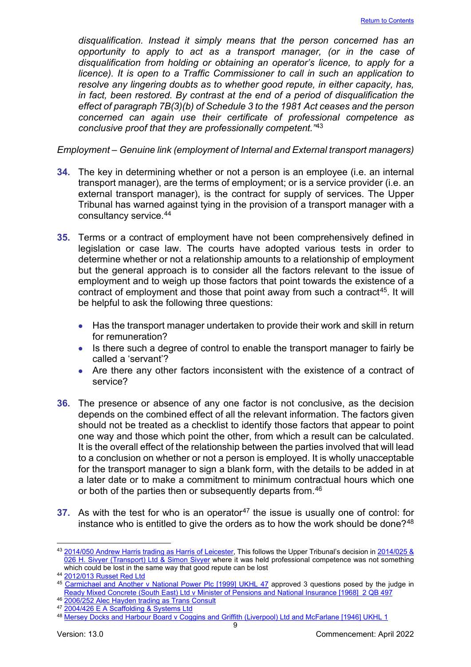*disqualification. Instead it simply means that the person concerned has an opportunity to apply to act as a transport manager, (or in the case of disqualification from holding or obtaining an operator's licence, to apply for a licence). It is open to a Traffic Commissioner to call in such an application to resolve any lingering doubts as to whether good repute, in either capacity, has, in fact, been restored. By contrast at the end of a period of disqualification the effect of paragraph 7B(3)(b) of Schedule 3 to the 1981 Act ceases and the person concerned can again use their certificate of professional competence as conclusive proof that they are professionally competent."*[43](#page-9-0)

*Employment – Genuine link (employment of Internal and External transport managers)*

- **34.** The key in determining whether or not a person is an employee (i.e. an internal transport manager), are the terms of employment; or is a service provider (i.e. an external transport manager), is the contract for supply of services. The Upper Tribunal has warned against tying in the provision of a transport manager with a consultancy service.[44](#page-9-1)
- **35.** Terms or a contract of employment have not been comprehensively defined in legislation or case law. The courts have adopted various tests in order to determine whether or not a relationship amounts to a relationship of employment but the general approach is to consider all the factors relevant to the issue of employment and to weigh up those factors that point towards the existence of a contract of employment and those that point away from such a contract<sup>[45](#page-9-2)</sup>. It will be helpful to ask the following three questions:
	- Has the transport manager undertaken to provide their work and skill in return for remuneration?
	- Is there such a degree of control to enable the transport manager to fairly be called a 'servant'?
	- Are there any other factors inconsistent with the existence of a contract of service?
- **36.** The presence or absence of any one factor is not conclusive, as the decision depends on the combined effect of all the relevant information. The factors given should not be treated as a checklist to identify those factors that appear to point one way and those which point the other, from which a result can be calculated. It is the overall effect of the relationship between the parties involved that will lead to a conclusion on whether or not a person is employed. It is wholly unacceptable for the transport manager to sign a blank form, with the details to be added in at a later date or to make a commitment to minimum contractual hours which one or both of the parties then or subsequently departs from. [46](#page-9-3)
- **37.** As with the test for who is an operator<sup>[47](#page-9-4)</sup> the issue is usually one of control: for instance who is entitled to give the orders as to how the work should be done?<sup>[48](#page-9-5)</sup>

<span id="page-9-0"></span><sup>43</sup> [2014/050 Andrew Harris trading as Harris of Leicester,](http://transportappeals.decisions.tribunals.gov.uk/Aspx/view.aspx?id=1510) This follows the Upper Tribunal's decision in 2014/025 & [026 H. Sivyer \(Transport\) Ltd & Simon Sivyer](http://transportappeals.decisions.tribunals.gov.uk/Aspx/view.aspx?id=1491) where it was held professional competence was not something which could be lost in the same way that good repute can be lost

<span id="page-9-1"></span><sup>44</sup> [2012/013 Russet Red Ltd](http://transportappeals.decisions.tribunals.gov.uk/Aspx/view.aspx?id=1287)

<span id="page-9-2"></span><sup>45</sup> [Carmichael and Another v National Power Plc \[1999\] UKHL 47](https://publications.parliament.uk/pa/ld199900/ldjudgmt/jd991118/car.htm) approved 3 questions posed by the judge in Ready Mixed [Concrete \(South East\) Ltd v Minister of Pensions and National Insurance \[1968\] 2 QB 497](https://www.bailii.org/ew/cases/EWHC/QB/1967/3.html)

<span id="page-9-3"></span><sup>46</sup> [2006/252 Alec Hayden trading as Trans Consult](http://transportappeals.decisions.tribunals.gov.uk/Aspx/view.aspx?id=639)

<span id="page-9-4"></span><sup>47</sup> [2004/426 E A Scaffolding & Systems Ltd](http://transportappeals.decisions.tribunals.gov.uk/Aspx/view.aspx?id=464)

<span id="page-9-5"></span><sup>48</sup> [Mersey Docks and Harbour Board v Coggins and Griffith \(Liverpool\) Ltd and McFarlane \[1946\] UKHL 1](https://www.bailii.org/uk/cases/UKHL/1946/1.html)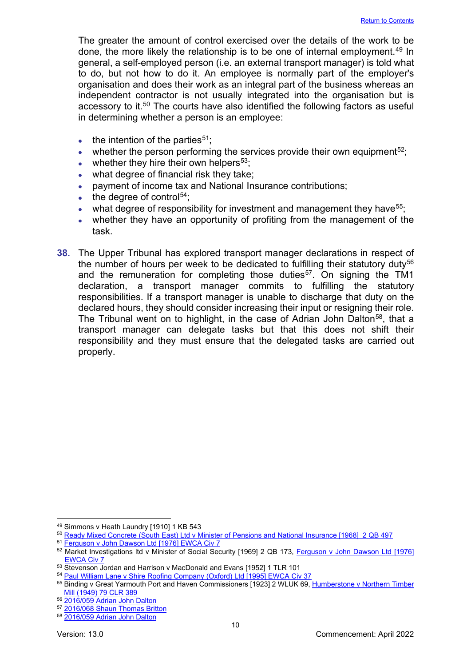The greater the amount of control exercised over the details of the work to be done, the more likely the relationship is to be one of internal employment.<sup>[49](#page-10-0)</sup> In general, a self-employed person (i.e. an external transport manager) is told what to do, but not how to do it. An employee is normally part of the employer's organisation and does their work as an integral part of the business whereas an independent contractor is not usually integrated into the organisation but is accessory to it.<sup>[50](#page-10-1)</sup> The courts have also identified the following factors as useful in determining whether a person is an employee:

- $\bullet$  the intention of the parties<sup>[51](#page-10-2)</sup>:
- whether the person performing the services provide their own equipment<sup>[52](#page-10-3)</sup>;
- whether they hire their own helpers<sup>[53](#page-10-4)</sup>;
- what degree of financial risk they take;
- payment of income tax and National Insurance contributions;
- the degree of control $54$ :
- what degree of responsibility for investment and management they have  $55$ ;
- whether they have an opportunity of profiting from the management of the task.
- **38.** The Upper Tribunal has explored transport manager declarations in respect of the number of hours per week to be dedicated to fulfilling their statutory duty<sup>[56](#page-10-7)</sup> and the remuneration for completing those duties<sup>57</sup>. On signing the TM1 declaration, a transport manager commits to fulfilling the statutory responsibilities. If a transport manager is unable to discharge that duty on the declared hours, they should consider increasing their input or resigning their role. The Tribunal went on to highlight, in the case of Adrian John Dalton<sup>58</sup>, that a transport manager can delegate tasks but that this does not shift their responsibility and they must ensure that the delegated tasks are carried out properly.

<span id="page-10-0"></span><sup>49</sup> Simmons v Heath Laundry [1910] 1 KB 543

<span id="page-10-1"></span><sup>50</sup> Ready Mixed Concrete (South East) Ltd v Minister of Pensions and National Insurance [1968] 2 QB 497<br>51 [Ferguson v John Dawson Ltd \[1976\] EWCA Civ 7](https://www.bailii.org/ew/cases/EWCA/Civ/1976/7.html)

<span id="page-10-3"></span><span id="page-10-2"></span><sup>52</sup> Market Investigations ltd v Minister of Social Security [1969] 2 QB 173, [Ferguson v John Dawson Ltd \[1976\]](https://www.bailii.org/ew/cases/EWCA/Civ/1976/7.html)  [EWCA Civ 7](https://www.bailii.org/ew/cases/EWCA/Civ/1976/7.html)

<span id="page-10-4"></span><sup>53</sup> Stevenson Jordan and Harrison v MacDonald and Evans [1952] 1 TLR 101<br>54 Paul William Lane v Shire Roofing Company (Oxford) Ltd [1995] EWCA Civ 37

<span id="page-10-6"></span><span id="page-10-5"></span><sup>55</sup> Binding v Great Yarmouth Port and Haven Commissioners [1923] 2 WLUK 69, Humberstone v Northern Timber [Mill \(1949\) 79 CLR 389](http://www7.austlii.edu.au/cgi-bin/viewdoc/au/cases/cth/HCA/1949/49.html)

<span id="page-10-7"></span><sup>56</sup> [2016/059 Adrian John Dalton](https://www.gov.uk/administrative-appeals-tribunal-decisions/adrian-john-dalton-2017-ukut-71-aac)

<span id="page-10-8"></span><sup>57</sup> [2016/068 Shaun Thomas Britton](https://www.gov.uk/administrative-appeals-tribunal-decisions/shaun-thomas-britton-2017-ukut-183-aac)

<span id="page-10-9"></span><sup>58</sup> [2016/059 Adrian John Dalton](https://www.gov.uk/administrative-appeals-tribunal-decisions/adrian-john-dalton-2017-ukut-71-aac)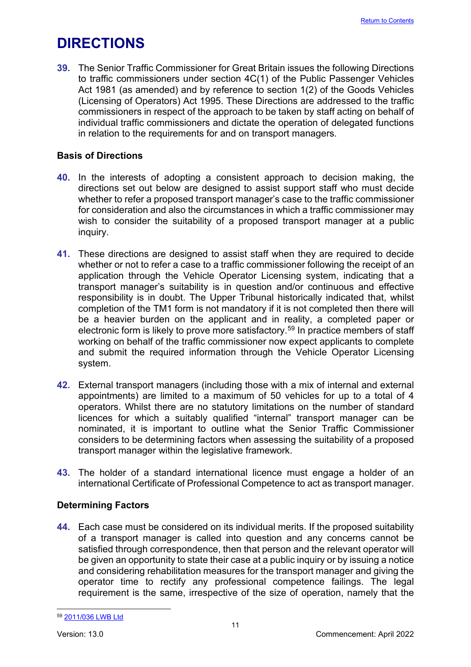## <span id="page-11-0"></span>**DIRECTIONS**

**39.** The Senior Traffic Commissioner for Great Britain issues the following Directions to traffic commissioners under section 4C(1) of the Public Passenger Vehicles Act 1981 (as amended) and by reference to section 1(2) of the Goods Vehicles (Licensing of Operators) Act 1995. These Directions are addressed to the traffic commissioners in respect of the approach to be taken by staff acting on behalf of individual traffic commissioners and dictate the operation of delegated functions in relation to the requirements for and on transport managers.

## **Basis of Directions**

- **40.** In the interests of adopting a consistent approach to decision making, the directions set out below are designed to assist support staff who must decide whether to refer a proposed transport manager's case to the traffic commissioner for consideration and also the circumstances in which a traffic commissioner may wish to consider the suitability of a proposed transport manager at a public inquiry.
- **41.** These directions are designed to assist staff when they are required to decide whether or not to refer a case to a traffic commissioner following the receipt of an application through the Vehicle Operator Licensing system, indicating that a transport manager's suitability is in question and/or continuous and effective responsibility is in doubt. The Upper Tribunal historically indicated that, whilst completion of the TM1 form is not mandatory if it is not completed then there will be a heavier burden on the applicant and in reality, a completed paper or electronic form is likely to prove more satisfactory.<sup>[59](#page-11-2)</sup> In practice members of staff working on behalf of the traffic commissioner now expect applicants to complete and submit the required information through the Vehicle Operator Licensing system.
- **42.** External transport managers (including those with a mix of internal and external appointments) are limited to a maximum of 50 vehicles for up to a total of 4 operators. Whilst there are no statutory limitations on the number of standard licences for which a suitably qualified "internal" transport manager can be nominated, it is important to outline what the Senior Traffic Commissioner considers to be determining factors when assessing the suitability of a proposed transport manager within the legislative framework.
- **43.** The holder of a standard international licence must engage a holder of an international Certificate of Professional Competence to act as transport manager.

## <span id="page-11-1"></span>**Determining Factors**

**44.** Each case must be considered on its individual merits. If the proposed suitability of a transport manager is called into question and any concerns cannot be satisfied through correspondence, then that person and the relevant operator will be given an opportunity to state their case at a public inquiry or by issuing a notice and considering rehabilitation measures for the transport manager and giving the operator time to rectify any professional competence failings. The legal requirement is the same, irrespective of the size of operation, namely that the

<span id="page-11-2"></span><sup>59</sup> [2011/036 LWB Ltd](http://transportappeals.decisions.tribunals.gov.uk/Aspx/view.aspx?id=1211)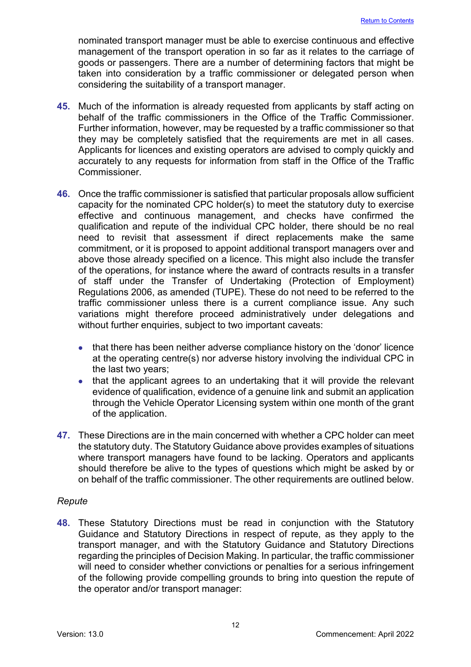nominated transport manager must be able to exercise continuous and effective management of the transport operation in so far as it relates to the carriage of goods or passengers. There are a number of determining factors that might be taken into consideration by a traffic commissioner or delegated person when considering the suitability of a transport manager.

- **45.** Much of the information is already requested from applicants by staff acting on behalf of the traffic commissioners in the Office of the Traffic Commissioner. Further information, however, may be requested by a traffic commissioner so that they may be completely satisfied that the requirements are met in all cases. Applicants for licences and existing operators are advised to comply quickly and accurately to any requests for information from staff in the Office of the Traffic **Commissioner**
- **46.** Once the traffic commissioner is satisfied that particular proposals allow sufficient capacity for the nominated CPC holder(s) to meet the statutory duty to exercise effective and continuous management, and checks have confirmed the qualification and repute of the individual CPC holder, there should be no real need to revisit that assessment if direct replacements make the same commitment, or it is proposed to appoint additional transport managers over and above those already specified on a licence. This might also include the transfer of the operations, for instance where the award of contracts results in a transfer of staff under the Transfer of Undertaking (Protection of Employment) Regulations 2006, as amended (TUPE). These do not need to be referred to the traffic commissioner unless there is a current compliance issue. Any such variations might therefore proceed administratively under delegations and without further enquiries, subject to two important caveats:
	- that there has been neither adverse compliance history on the 'donor' licence at the operating centre(s) nor adverse history involving the individual CPC in the last two years;
	- that the applicant agrees to an undertaking that it will provide the relevant evidence of qualification, evidence of a genuine link and submit an application through the Vehicle Operator Licensing system within one month of the grant of the application.
- **47.** These Directions are in the main concerned with whether a CPC holder can meet the statutory duty. The Statutory Guidance above provides examples of situations where transport managers have found to be lacking. Operators and applicants should therefore be alive to the types of questions which might be asked by or on behalf of the traffic commissioner. The other requirements are outlined below.

## <span id="page-12-0"></span>*Repute*

**48.** These Statutory Directions must be read in conjunction with the Statutory Guidance and Statutory Directions in respect of repute, as they apply to the transport manager, and with the Statutory Guidance and Statutory Directions regarding the principles of Decision Making. In particular, the traffic commissioner will need to consider whether convictions or penalties for a serious infringement of the following provide compelling grounds to bring into question the repute of the operator and/or transport manager: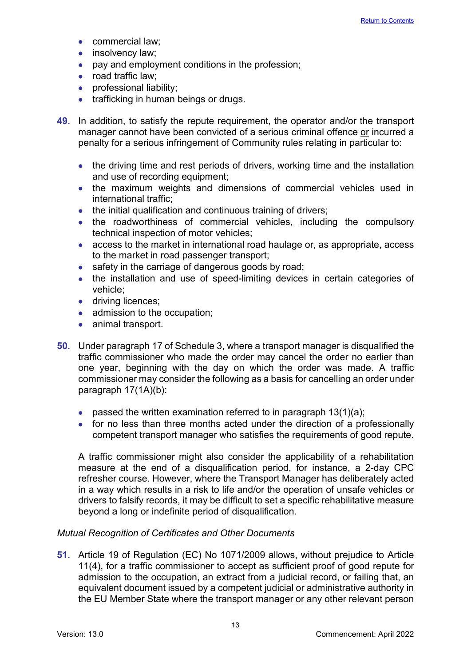- commercial law:
- insolvency law;
- pay and employment conditions in the profession;
- road traffic law:
- professional liability;
- trafficking in human beings or drugs.
- **49.** In addition, to satisfy the repute requirement, the operator and/or the transport manager cannot have been convicted of a serious criminal offence or incurred a penalty for a serious infringement of Community rules relating in particular to:
	- the driving time and rest periods of drivers, working time and the installation and use of recording equipment;
	- the maximum weights and dimensions of commercial vehicles used in international traffic;
	- the initial qualification and continuous training of drivers;
	- the roadworthiness of commercial vehicles, including the compulsory technical inspection of motor vehicles;
	- access to the market in international road haulage or, as appropriate, access to the market in road passenger transport;
	- safety in the carriage of dangerous goods by road;
	- the installation and use of speed-limiting devices in certain categories of vehicle;
	- driving licences;
	- admission to the occupation;
	- animal transport.
- **50.** Under paragraph 17 of Schedule 3, where a transport manager is disqualified the traffic commissioner who made the order may cancel the order no earlier than one year, beginning with the day on which the order was made. A traffic commissioner may consider the following as a basis for cancelling an order under paragraph 17(1A)(b):
	- passed the written examination referred to in paragraph  $13(1)(a)$ ;
	- for no less than three months acted under the direction of a professionally competent transport manager who satisfies the requirements of good repute.

A traffic commissioner might also consider the applicability of a rehabilitation measure at the end of a disqualification period, for instance, a 2-day CPC refresher course. However, where the Transport Manager has deliberately acted in a way which results in a risk to life and/or the operation of unsafe vehicles or drivers to falsify records, it may be difficult to set a specific rehabilitative measure beyond a long or indefinite period of disqualification.

#### *Mutual Recognition of Certificates and Other Documents*

**51.** Article 19 of Regulation (EC) No 1071/2009 allows, without prejudice to Article 11(4), for a traffic commissioner to accept as sufficient proof of good repute for admission to the occupation, an extract from a judicial record, or failing that, an equivalent document issued by a competent judicial or administrative authority in the EU Member State where the transport manager or any other relevant person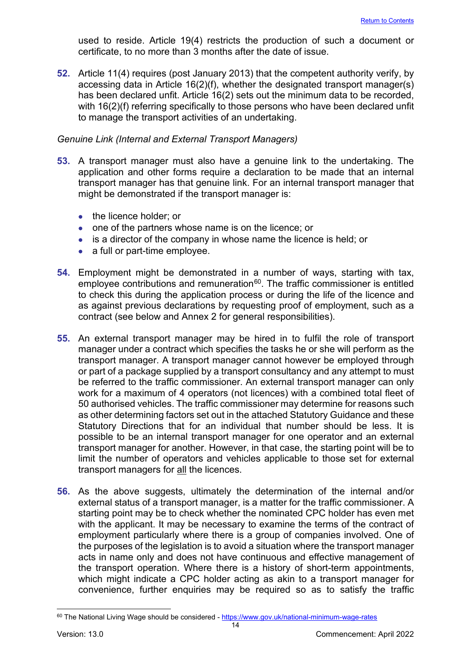used to reside. Article 19(4) restricts the production of such a document or certificate, to no more than 3 months after the date of issue.

**52.** Article 11(4) requires (post January 2013) that the competent authority verify, by accessing data in Article 16(2)(f), whether the designated transport manager(s) has been declared unfit. Article 16(2) sets out the minimum data to be recorded, with 16(2)(f) referring specifically to those persons who have been declared unfit to manage the transport activities of an undertaking.

#### <span id="page-14-0"></span>*Genuine Link (Internal and External Transport Managers)*

- **53.** A transport manager must also have a genuine link to the undertaking. The application and other forms require a declaration to be made that an internal transport manager has that genuine link. For an internal transport manager that might be demonstrated if the transport manager is:
	- the licence holder: or
	- one of the partners whose name is on the licence; or
	- is a director of the company in whose name the licence is held; or
	- a full or part-time employee.
- **54.** Employment might be demonstrated in a number of ways, starting with tax, employee contributions and remuneration $60$ . The traffic commissioner is entitled to check this during the application process or during the life of the licence and as against previous declarations by requesting proof of employment, such as a contract (see below and Annex 2 for general responsibilities).
- **55.** An external transport manager may be hired in to fulfil the role of transport manager under a contract which specifies the tasks he or she will perform as the transport manager. A transport manager cannot however be employed through or part of a package supplied by a transport consultancy and any attempt to must be referred to the traffic commissioner. An external transport manager can only work for a maximum of 4 operators (not licences) with a combined total fleet of 50 authorised vehicles. The traffic commissioner may determine for reasons such as other determining factors set out in the attached Statutory Guidance and these Statutory Directions that for an individual that number should be less. It is possible to be an internal transport manager for one operator and an external transport manager for another. However, in that case, the starting point will be to limit the number of operators and vehicles applicable to those set for external transport managers for all the licences.
- **56.** As the above suggests, ultimately the determination of the internal and/or external status of a transport manager, is a matter for the traffic commissioner. A starting point may be to check whether the nominated CPC holder has even met with the applicant. It may be necessary to examine the terms of the contract of employment particularly where there is a group of companies involved. One of the purposes of the legislation is to avoid a situation where the transport manager acts in name only and does not have continuous and effective management of the transport operation. Where there is a history of short-term appointments, which might indicate a CPC holder acting as akin to a transport manager for convenience, further enquiries may be required so as to satisfy the traffic

<span id="page-14-1"></span><sup>60</sup> The National Living Wage should be considered -<https://www.gov.uk/national-minimum-wage-rates>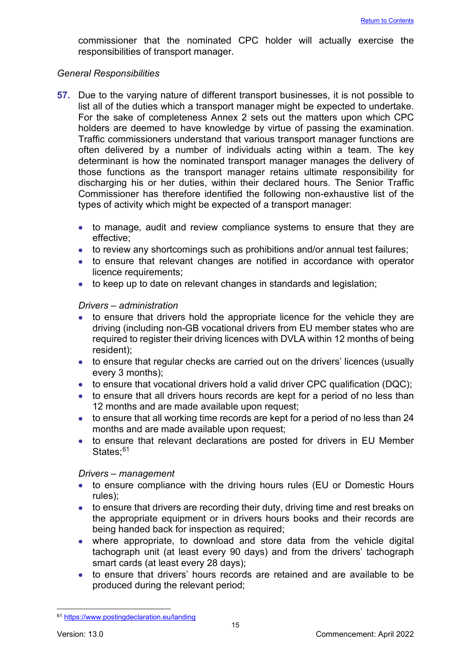commissioner that the nominated CPC holder will actually exercise the responsibilities of transport manager.

#### <span id="page-15-0"></span>*General Responsibilities*

- **57.** Due to the varying nature of different transport businesses, it is not possible to list all of the duties which a transport manager might be expected to undertake. For the sake of completeness Annex 2 sets out the matters upon which CPC holders are deemed to have knowledge by virtue of passing the examination. Traffic commissioners understand that various transport manager functions are often delivered by a number of individuals acting within a team. The key determinant is how the nominated transport manager manages the delivery of those functions as the transport manager retains ultimate responsibility for discharging his or her duties, within their declared hours. The Senior Traffic Commissioner has therefore identified the following non-exhaustive list of the types of activity which might be expected of a transport manager:
	- to manage, audit and review compliance systems to ensure that they are effective;
	- to review any shortcomings such as prohibitions and/or annual test failures;
	- to ensure that relevant changes are notified in accordance with operator licence requirements;
	- to keep up to date on relevant changes in standards and legislation;

#### *Drivers – administration*

- to ensure that drivers hold the appropriate licence for the vehicle they are driving (including non-GB vocational drivers from EU member states who are required to register their driving licences with DVLA within 12 months of being resident);
- to ensure that regular checks are carried out on the drivers' licences (usually every 3 months);
- to ensure that vocational drivers hold a valid driver CPC qualification (DQC);
- to ensure that all drivers hours records are kept for a period of no less than 12 months and are made available upon request;
- to ensure that all working time records are kept for a period of no less than 24 months and are made available upon request;
- to ensure that relevant declarations are posted for drivers in EU Member States:<sup>[61](#page-15-1)</sup>

#### *Drivers – management*

- to ensure compliance with the driving hours rules (EU or Domestic Hours rules);
- to ensure that drivers are recording their duty, driving time and rest breaks on the appropriate equipment or in drivers hours books and their records are being handed back for inspection as required;
- where appropriate, to download and store data from the vehicle digital tachograph unit (at least every 90 days) and from the drivers' tachograph smart cards (at least every 28 days);
- to ensure that drivers' hours records are retained and are available to be produced during the relevant period;

<span id="page-15-1"></span><sup>61</sup> <https://www.postingdeclaration.eu/landing>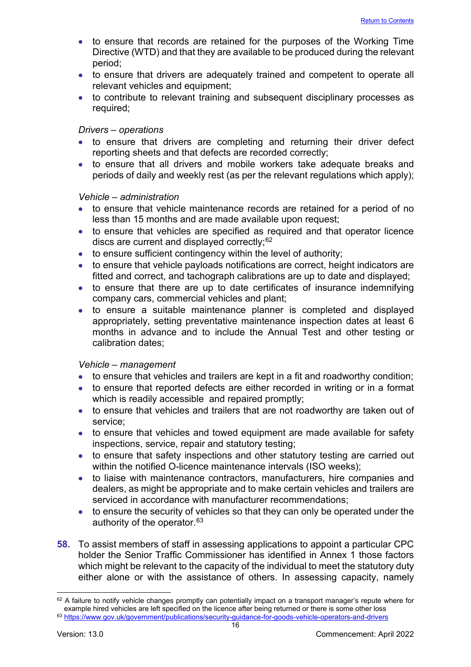- to ensure that records are retained for the purposes of the Working Time Directive (WTD) and that they are available to be produced during the relevant period;
- to ensure that drivers are adequately trained and competent to operate all relevant vehicles and equipment;
- to contribute to relevant training and subsequent disciplinary processes as required;

#### *Drivers – operations*

- to ensure that drivers are completing and returning their driver defect reporting sheets and that defects are recorded correctly;
- to ensure that all drivers and mobile workers take adequate breaks and periods of daily and weekly rest (as per the relevant regulations which apply);

#### *Vehicle – administration*

- to ensure that vehicle maintenance records are retained for a period of no less than 15 months and are made available upon request;
- to ensure that vehicles are specified as required and that operator licence discs are current and displayed correctly;<sup>[62](#page-16-0)</sup>
- to ensure sufficient contingency within the level of authority;
- to ensure that vehicle payloads notifications are correct, height indicators are fitted and correct, and tachograph calibrations are up to date and displayed;
- to ensure that there are up to date certificates of insurance indemnifying company cars, commercial vehicles and plant;
- to ensure a suitable maintenance planner is completed and displayed appropriately, setting preventative maintenance inspection dates at least 6 months in advance and to include the Annual Test and other testing or calibration dates;

#### *Vehicle – management*

- to ensure that vehicles and trailers are kept in a fit and roadworthy condition;
- to ensure that reported defects are either recorded in writing or in a format which is readily accessible and repaired promptly;
- to ensure that vehicles and trailers that are not roadworthy are taken out of service;
- to ensure that vehicles and towed equipment are made available for safety inspections, service, repair and statutory testing;
- to ensure that safety inspections and other statutory testing are carried out within the notified O-licence maintenance intervals (ISO weeks);
- to liaise with maintenance contractors, manufacturers, hire companies and dealers, as might be appropriate and to make certain vehicles and trailers are serviced in accordance with manufacturer recommendations;
- to ensure the security of vehicles so that they can only be operated under the authority of the operator.<sup>[63](#page-16-1)</sup>
- **58.** To assist members of staff in assessing applications to appoint a particular CPC holder the Senior Traffic Commissioner has identified in Annex 1 those factors which might be relevant to the capacity of the individual to meet the statutory duty either alone or with the assistance of others. In assessing capacity, namely

<span id="page-16-1"></span><span id="page-16-0"></span> $62$  A failure to notify vehicle changes promptly can potentially impact on a transport manager's repute where for example hired vehicles are left specified on the licence after being returned or there is some other loss <sup>63</sup> <https://www.gov.uk/government/publications/security-guidance-for-goods-vehicle-operators-and-drivers>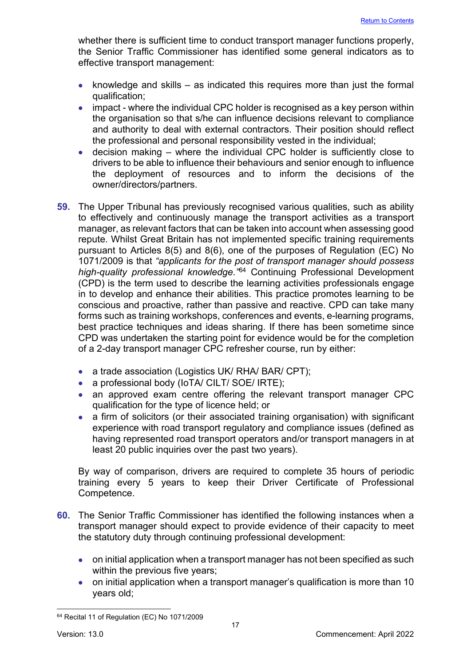whether there is sufficient time to conduct transport manager functions properly, the Senior Traffic Commissioner has identified some general indicators as to effective transport management:

- knowledge and skills as indicated this requires more than just the formal qualification;
- impact where the individual CPC holder is recognised as a key person within the organisation so that s/he can influence decisions relevant to compliance and authority to deal with external contractors. Their position should reflect the professional and personal responsibility vested in the individual;
- decision making where the individual CPC holder is sufficiently close to drivers to be able to influence their behaviours and senior enough to influence the deployment of resources and to inform the decisions of the owner/directors/partners.
- **59.** The Upper Tribunal has previously recognised various qualities, such as ability to effectively and continuously manage the transport activities as a transport manager, as relevant factors that can be taken into account when assessing good repute. Whilst Great Britain has not implemented specific training requirements pursuant to Articles 8(5) and 8(6), one of the purposes of Regulation (EC) No 1071/2009 is that *"applicants for the post of transport manager should possess high-quality professional knowledge."*[64](#page-17-0) Continuing Professional Development (CPD) is the term used to describe the learning activities professionals engage in to develop and enhance their abilities. This practice promotes learning to be conscious and proactive, rather than passive and reactive. CPD can take many forms such as training workshops, conferences and events, e-learning programs, best practice techniques and ideas sharing. If there has been sometime since CPD was undertaken the starting point for evidence would be for the completion of a 2-day transport manager CPC refresher course, run by either:
	- a trade association (Logistics UK/ RHA/ BAR/ CPT);
	- a professional body (IoTA/ CILT/ SOE/ IRTE);
	- an approved exam centre offering the relevant transport manager CPC qualification for the type of licence held; or
	- a firm of solicitors (or their associated training organisation) with significant experience with road transport regulatory and compliance issues (defined as having represented road transport operators and/or transport managers in at least 20 public inquiries over the past two years).

By way of comparison, drivers are required to complete 35 hours of periodic training every 5 years to keep their Driver Certificate of Professional Competence.

- **60.** The Senior Traffic Commissioner has identified the following instances when a transport manager should expect to provide evidence of their capacity to meet the statutory duty through continuing professional development:
	- on initial application when a transport manager has not been specified as such within the previous five years;
	- on initial application when a transport manager's qualification is more than 10 years old;

<span id="page-17-0"></span><sup>&</sup>lt;sup>64</sup> Recital 11 of Regulation (EC) No 1071/2009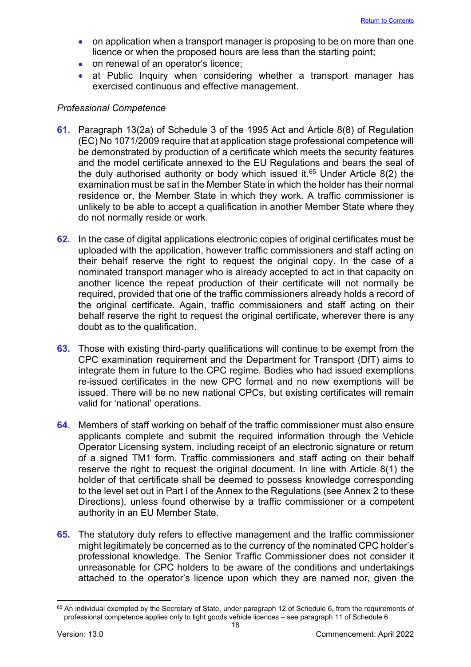- on application when a transport manager is proposing to be on more than one licence or when the proposed hours are less than the starting point;
- on renewal of an operator's licence;
- at Public Inquiry when considering whether a transport manager has exercised continuous and effective management.

## <span id="page-18-0"></span>*Professional Competence*

- **61.** Paragraph 13(2a) of Schedule 3 of the 1995 Act and Article 8(8) of Regulation (EC) No 1071/2009 require that at application stage professional competence will be demonstrated by production of a certificate which meets the security features and the model certificate annexed to the EU Regulations and bears the seal of the duly authorised authority or body which issued it.<sup>[65](#page-18-1)</sup> Under Article 8(2) the examination must be sat in the Member State in which the holder has their normal residence or, the Member State in which they work. A traffic commissioner is unlikely to be able to accept a qualification in another Member State where they do not normally reside or work.
- **62.** In the case of digital applications electronic copies of original certificates must be uploaded with the application, however traffic commissioners and staff acting on their behalf reserve the right to request the original copy. In the case of a nominated transport manager who is already accepted to act in that capacity on another licence the repeat production of their certificate will not normally be required, provided that one of the traffic commissioners already holds a record of the original certificate. Again, traffic commissioners and staff acting on their behalf reserve the right to request the original certificate, wherever there is any doubt as to the qualification.
- **63.** Those with existing third-party qualifications will continue to be exempt from the CPC examination requirement and the Department for Transport (DfT) aims to integrate them in future to the CPC regime. Bodies who had issued exemptions re-issued certificates in the new CPC format and no new exemptions will be issued. There will be no new national CPCs, but existing certificates will remain valid for 'national' operations.
- **64.** Members of staff working on behalf of the traffic commissioner must also ensure applicants complete and submit the required information through the Vehicle Operator Licensing system, including receipt of an electronic signature or return of a signed TM1 form. Traffic commissioners and staff acting on their behalf reserve the right to request the original document. In line with Article 8(1) the holder of that certificate shall be deemed to possess knowledge corresponding to the level set out in Part I of the Annex to the Regulations (see Annex 2 to these Directions), unless found otherwise by a traffic commissioner or a competent authority in an EU Member State.
- **65.** The statutory duty refers to effective management and the traffic commissioner might legitimately be concerned as to the currency of the nominated CPC holder's professional knowledge. The Senior Traffic Commissioner does not consider it unreasonable for CPC holders to be aware of the conditions and undertakings attached to the operator's licence upon which they are named nor, given the

<span id="page-18-1"></span><sup>&</sup>lt;sup>65</sup> An individual exempted by the Secretary of State, under paragraph 12 of Schedule 6, from the requirements of professional competence applies only to light goods vehicle licences – see paragraph 11 of Schedule 6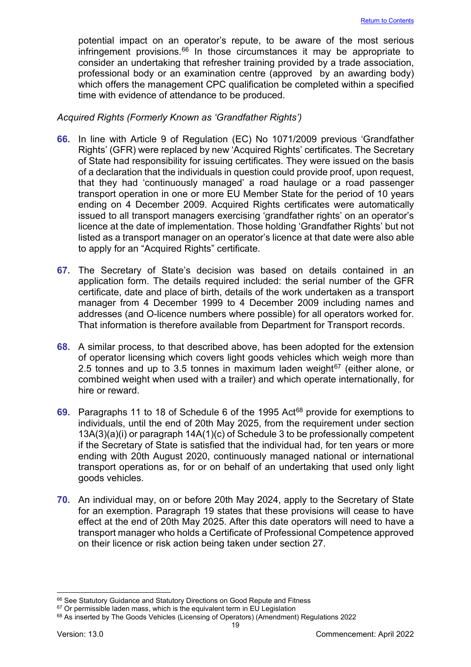potential impact on an operator's repute, to be aware of the most serious infringement provisions. $66$  In those circumstances it may be appropriate to consider an undertaking that refresher training provided by a trade association, professional body or an examination centre (approved by an awarding body) which offers the management CPC qualification be completed within a specified time with evidence of attendance to be produced.

#### <span id="page-19-0"></span>*Acquired Rights (Formerly Known as 'Grandfather Rights')*

- **66.** In line with Article 9 of Regulation (EC) No 1071/2009 previous 'Grandfather Rights' (GFR) were replaced by new 'Acquired Rights' certificates. The Secretary of State had responsibility for issuing certificates. They were issued on the basis of a declaration that the individuals in question could provide proof, upon request, that they had 'continuously managed' a road haulage or a road passenger transport operation in one or more EU Member State for the period of 10 years ending on 4 December 2009. Acquired Rights certificates were automatically issued to all transport managers exercising 'grandfather rights' on an operator's licence at the date of implementation. Those holding 'Grandfather Rights' but not listed as a transport manager on an operator's licence at that date were also able to apply for an "Acquired Rights" certificate.
- **67.** The Secretary of State's decision was based on details contained in an application form. The details required included: the serial number of the GFR certificate, date and place of birth, details of the work undertaken as a transport manager from 4 December 1999 to 4 December 2009 including names and addresses (and O-licence numbers where possible) for all operators worked for. That information is therefore available from Department for Transport records.
- **68.** A similar process, to that described above, has been adopted for the extension of operator licensing which covers light goods vehicles which weigh more than 2.5 tonnes and up to 3.5 tonnes in maximum laden weight $67$  (either alone, or combined weight when used with a trailer) and which operate internationally, for hire or reward.
- **69.** Paragraphs 11 to 18 of Schedule 6 of the 1995 Act<sup>[68](#page-19-3)</sup> provide for exemptions to individuals, until the end of 20th May 2025, from the requirement under section 13A(3)(a)(i) or paragraph 14A(1)(c) of Schedule 3 to be professionally competent if the Secretary of State is satisfied that the individual had, for ten years or more ending with 20th August 2020, continuously managed national or international transport operations as, for or on behalf of an undertaking that used only light goods vehicles.
- **70.** An individual may, on or before 20th May 2024, apply to the Secretary of State for an exemption. Paragraph 19 states that these provisions will cease to have effect at the end of 20th May 2025. After this date operators will need to have a transport manager who holds a Certificate of Professional Competence approved on their licence or risk action being taken under section 27.

<span id="page-19-1"></span><sup>66</sup> See Statutory Guidance and Statutory Directions on Good Repute and Fitness

<span id="page-19-2"></span> $67$  Or permissible laden mass, which is the equivalent term in EU Legislation

<span id="page-19-3"></span><sup>&</sup>lt;sup>68</sup> As inserted by The Goods Vehicles (Licensing of Operators) (Amendment) Regulations 2022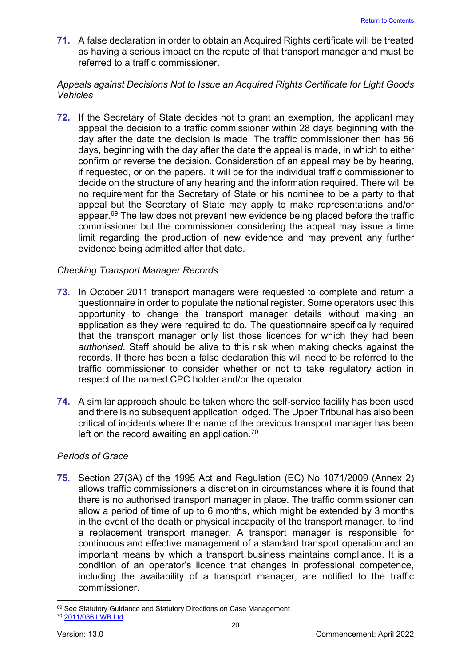**71.** A false declaration in order to obtain an Acquired Rights certificate will be treated as having a serious impact on the repute of that transport manager and must be referred to a traffic commissioner.

## <span id="page-20-0"></span>*Appeals against Decisions Not to Issue an Acquired Rights Certificate for Light Goods Vehicles*

**72.** If the Secretary of State decides not to grant an exemption, the applicant may appeal the decision to a traffic commissioner within 28 days beginning with the day after the date the decision is made. The traffic commissioner then has 56 days, beginning with the day after the date the appeal is made, in which to either confirm or reverse the decision. Consideration of an appeal may be by hearing, if requested, or on the papers. It will be for the individual traffic commissioner to decide on the structure of any hearing and the information required. There will be no requirement for the Secretary of State or his nominee to be a party to that appeal but the Secretary of State may apply to make representations and/or appear.<sup>[69](#page-20-3)</sup> The law does not prevent new evidence being placed before the traffic commissioner but the commissioner considering the appeal may issue a time limit regarding the production of new evidence and may prevent any further evidence being admitted after that date.

## <span id="page-20-1"></span>*Checking Transport Manager Records*

- **73.** In October 2011 transport managers were requested to complete and return a questionnaire in order to populate the national register. Some operators used this opportunity to change the transport manager details without making an application as they were required to do. The questionnaire specifically required that the transport manager only list those licences for which they had been *authorised*. Staff should be alive to this risk when making checks against the records. If there has been a false declaration this will need to be referred to the traffic commissioner to consider whether or not to take regulatory action in respect of the named CPC holder and/or the operator.
- **74.** A similar approach should be taken where the self-service facility has been used and there is no subsequent application lodged. The Upper Tribunal has also been critical of incidents where the name of the previous transport manager has been left on the record awaiting an application.<sup>70</sup>

## <span id="page-20-2"></span>*Periods of Grace*

**75.** Section 27(3A) of the 1995 Act and Regulation (EC) No 1071/2009 (Annex 2) allows traffic commissioners a discretion in circumstances where it is found that there is no authorised transport manager in place. The traffic commissioner can allow a period of time of up to 6 months, which might be extended by 3 months in the event of the death or physical incapacity of the transport manager, to find a replacement transport manager. A transport manager is responsible for continuous and effective management of a standard transport operation and an important means by which a transport business maintains compliance. It is a condition of an operator's licence that changes in professional competence, including the availability of a transport manager, are notified to the traffic commissioner.

<span id="page-20-3"></span><sup>69</sup> See Statutory Guidance and Statutory Directions on Case Management

<span id="page-20-4"></span><sup>70</sup> [2011/036 LWB Ltd](http://transportappeals.decisions.tribunals.gov.uk/Aspx/view.aspx?id=1211)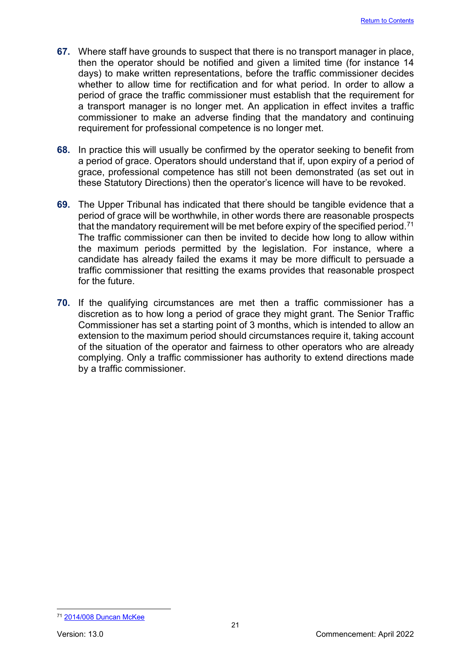- **67.** Where staff have grounds to suspect that there is no transport manager in place, then the operator should be notified and given a limited time (for instance 14 days) to make written representations, before the traffic commissioner decides whether to allow time for rectification and for what period. In order to allow a period of grace the traffic commissioner must establish that the requirement for a transport manager is no longer met. An application in effect invites a traffic commissioner to make an adverse finding that the mandatory and continuing requirement for professional competence is no longer met.
- **68.** In practice this will usually be confirmed by the operator seeking to benefit from a period of grace. Operators should understand that if, upon expiry of a period of grace, professional competence has still not been demonstrated (as set out in these Statutory Directions) then the operator's licence will have to be revoked.
- **69.** The Upper Tribunal has indicated that there should be tangible evidence that a period of grace will be worthwhile, in other words there are reasonable prospects that the mandatory requirement will be met before expiry of the specified period.<sup>71</sup> The traffic commissioner can then be invited to decide how long to allow within the maximum periods permitted by the legislation. For instance, where a candidate has already failed the exams it may be more difficult to persuade a traffic commissioner that resitting the exams provides that reasonable prospect for the future.
- **70.** If the qualifying circumstances are met then a traffic commissioner has a discretion as to how long a period of grace they might grant. The Senior Traffic Commissioner has set a starting point of 3 months, which is intended to allow an extension to the maximum period should circumstances require it, taking account of the situation of the operator and fairness to other operators who are already complying. Only a traffic commissioner has authority to extend directions made by a traffic commissioner.

<span id="page-21-0"></span><sup>71</sup> [2014/008 Duncan McKee](http://transportappeals.decisions.tribunals.gov.uk/Aspx/view.aspx?id=1470)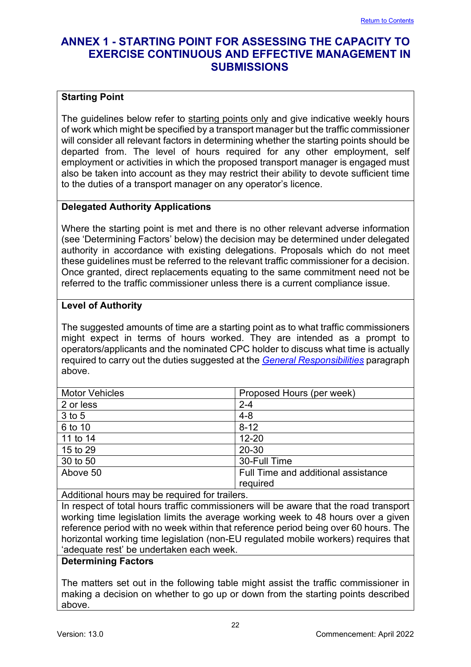## <span id="page-22-0"></span>**ANNEX 1 - STARTING POINT FOR ASSESSING THE CAPACITY TO EXERCISE CONTINUOUS AND EFFECTIVE MANAGEMENT IN SUBMISSIONS**

## **Starting Point**

The guidelines below refer to starting points only and give indicative weekly hours of work which might be specified by a transport manager but the traffic commissioner will consider all relevant factors in determining whether the starting points should be departed from. The level of hours required for any other employment, self employment or activities in which the proposed transport manager is engaged must also be taken into account as they may restrict their ability to devote sufficient time to the duties of a transport manager on any operator's licence.

## **Delegated Authority Applications**

Where the starting point is met and there is no other relevant adverse information (see 'Determining Factors' below) the decision may be determined under delegated authority in accordance with existing delegations. Proposals which do not meet these guidelines must be referred to the relevant traffic commissioner for a decision. Once granted, direct replacements equating to the same commitment need not be referred to the traffic commissioner unless there is a current compliance issue.

## **Level of Authority**

The suggested amounts of time are a starting point as to what traffic commissioners might expect in terms of hours worked. They are intended as a prompt to operators/applicants and the nominated CPC holder to discuss what time is actually required to carry out the duties suggested at the *[General Responsibilities](#page-15-0)* paragraph above.

| <b>Motor Vehicles</b> | Proposed Hours (per week)           |
|-----------------------|-------------------------------------|
| 2 or less             | $2 - 4$                             |
| 3 to 5                | $4 - 8$                             |
| 6 to 10               | $8 - 12$                            |
| 11 to 14              | $12 - 20$                           |
| 15 to 29              | 20-30                               |
| 30 to 50              | 30-Full Time                        |
| Above 50              | Full Time and additional assistance |
|                       | required                            |
|                       |                                     |

Additional hours may be required for trailers.

In respect of total hours traffic commissioners will be aware that the road transport working time legislation limits the average working week to 48 hours over a given reference period with no week within that reference period being over 60 hours. The horizontal working time legislation (non-EU regulated mobile workers) requires that 'adequate rest' be undertaken each week.

## **Determining Factors**

The matters set out in the following table might assist the traffic commissioner in making a decision on whether to go up or down from the starting points described above.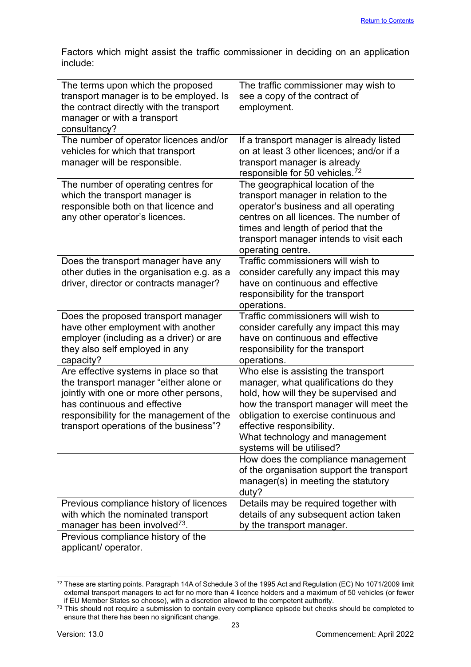Factors which might assist the traffic commissioner in deciding on an application include:

| The terms upon which the proposed<br>transport manager is to be employed. Is<br>the contract directly with the transport<br>manager or with a transport<br>consultancy?                                                                           | The traffic commissioner may wish to<br>see a copy of the contract of<br>employment.                                                                                                                                                                                                                 |
|---------------------------------------------------------------------------------------------------------------------------------------------------------------------------------------------------------------------------------------------------|------------------------------------------------------------------------------------------------------------------------------------------------------------------------------------------------------------------------------------------------------------------------------------------------------|
| The number of operator licences and/or<br>vehicles for which that transport<br>manager will be responsible.                                                                                                                                       | If a transport manager is already listed<br>on at least 3 other licences; and/or if a<br>transport manager is already<br>responsible for 50 vehicles. <sup>72</sup>                                                                                                                                  |
| The number of operating centres for<br>which the transport manager is<br>responsible both on that licence and<br>any other operator's licences.                                                                                                   | The geographical location of the<br>transport manager in relation to the<br>operator's business and all operating<br>centres on all licences. The number of<br>times and length of period that the<br>transport manager intends to visit each<br>operating centre.                                   |
| Does the transport manager have any<br>other duties in the organisation e.g. as a<br>driver, director or contracts manager?                                                                                                                       | Traffic commissioners will wish to<br>consider carefully any impact this may<br>have on continuous and effective<br>responsibility for the transport<br>operations.                                                                                                                                  |
| Does the proposed transport manager<br>have other employment with another<br>employer (including as a driver) or are<br>they also self employed in any<br>capacity?                                                                               | Traffic commissioners will wish to<br>consider carefully any impact this may<br>have on continuous and effective<br>responsibility for the transport<br>operations.                                                                                                                                  |
| Are effective systems in place so that<br>the transport manager "either alone or<br>jointly with one or more other persons,<br>has continuous and effective<br>responsibility for the management of the<br>transport operations of the business"? | Who else is assisting the transport<br>manager, what qualifications do they<br>hold, how will they be supervised and<br>how the transport manager will meet the<br>obligation to exercise continuous and<br>effective responsibility.<br>What technology and management<br>systems will be utilised? |
|                                                                                                                                                                                                                                                   | How does the compliance management<br>of the organisation support the transport<br>manager(s) in meeting the statutory<br>duty?                                                                                                                                                                      |
| Previous compliance history of licences<br>with which the nominated transport<br>manager has been involved <sup>73</sup> .                                                                                                                        | Details may be required together with<br>details of any subsequent action taken<br>by the transport manager.                                                                                                                                                                                         |
| Previous compliance history of the<br>applicant/ operator.                                                                                                                                                                                        |                                                                                                                                                                                                                                                                                                      |

<span id="page-23-0"></span><sup>&</sup>lt;sup>72</sup> These are starting points. Paragraph 14A of Schedule 3 of the 1995 Act and Regulation (EC) No 1071/2009 limit external transport managers to act for no more than 4 licence holders and a maximum of 50 vehicles (or fewer

<span id="page-23-1"></span>if EU Member States so choose), with a discretion allowed to the competent authority.<br><sup>73</sup> This should not require a submission to contain every compliance episode but checks should be completed to ensure that there has been no significant change.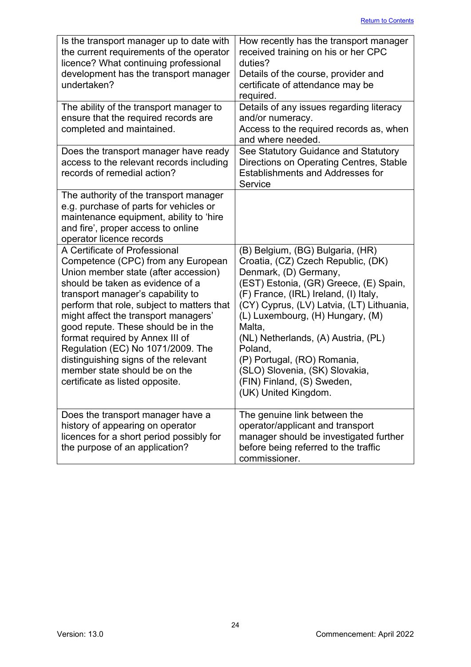| Is the transport manager up to date with<br>the current requirements of the operator<br>licence? What continuing professional<br>development has the transport manager<br>undertaken?                                                                                                                                                                                                                                                                                                                 | How recently has the transport manager<br>received training on his or her CPC<br>duties?<br>Details of the course, provider and<br>certificate of attendance may be<br>required.                                                                                                                                                                                                                                                                       |
|-------------------------------------------------------------------------------------------------------------------------------------------------------------------------------------------------------------------------------------------------------------------------------------------------------------------------------------------------------------------------------------------------------------------------------------------------------------------------------------------------------|--------------------------------------------------------------------------------------------------------------------------------------------------------------------------------------------------------------------------------------------------------------------------------------------------------------------------------------------------------------------------------------------------------------------------------------------------------|
| The ability of the transport manager to<br>ensure that the required records are<br>completed and maintained.                                                                                                                                                                                                                                                                                                                                                                                          | Details of any issues regarding literacy<br>and/or numeracy.<br>Access to the required records as, when<br>and where needed.                                                                                                                                                                                                                                                                                                                           |
| Does the transport manager have ready<br>access to the relevant records including<br>records of remedial action?                                                                                                                                                                                                                                                                                                                                                                                      | See Statutory Guidance and Statutory<br>Directions on Operating Centres, Stable<br><b>Establishments and Addresses for</b><br>Service                                                                                                                                                                                                                                                                                                                  |
| The authority of the transport manager<br>e.g. purchase of parts for vehicles or<br>maintenance equipment, ability to 'hire<br>and fire', proper access to online<br>operator licence records                                                                                                                                                                                                                                                                                                         |                                                                                                                                                                                                                                                                                                                                                                                                                                                        |
| A Certificate of Professional<br>Competence (CPC) from any European<br>Union member state (after accession)<br>should be taken as evidence of a<br>transport manager's capability to<br>perform that role, subject to matters that<br>might affect the transport managers'<br>good repute. These should be in the<br>format required by Annex III of<br>Regulation (EC) No 1071/2009. The<br>distinguishing signs of the relevant<br>member state should be on the<br>certificate as listed opposite. | (B) Belgium, (BG) Bulgaria, (HR)<br>Croatia, (CZ) Czech Republic, (DK)<br>Denmark, (D) Germany,<br>(EST) Estonia, (GR) Greece, (E) Spain,<br>(F) France, (IRL) Ireland, (I) Italy,<br>(CY) Cyprus, (LV) Latvia, (LT) Lithuania,<br>(L) Luxembourg, (H) Hungary, (M)<br>Malta,<br>(NL) Netherlands, (A) Austria, (PL)<br>Poland,<br>(P) Portugal, (RO) Romania,<br>(SLO) Slovenia, (SK) Slovakia,<br>(FIN) Finland, (S) Sweden,<br>(UK) United Kingdom. |
| Does the transport manager have a<br>history of appearing on operator<br>licences for a short period possibly for<br>the purpose of an application?                                                                                                                                                                                                                                                                                                                                                   | The genuine link between the<br>operator/applicant and transport<br>manager should be investigated further<br>before being referred to the traffic<br>commissioner.                                                                                                                                                                                                                                                                                    |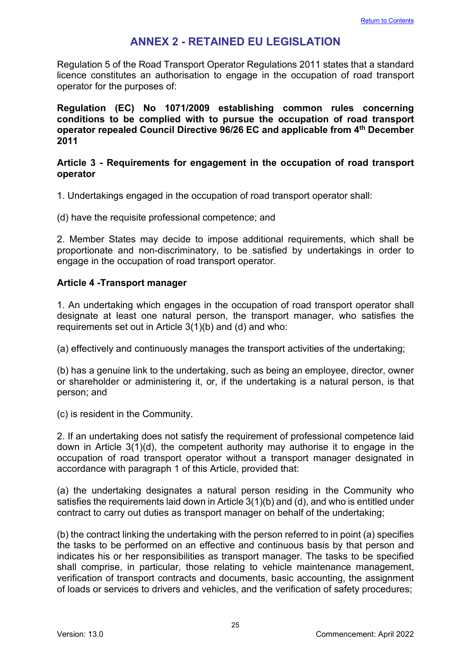## **ANNEX 2 - RETAINED EU LEGISLATION**

<span id="page-25-0"></span>Regulation 5 of the Road Transport Operator Regulations 2011 states that a standard licence constitutes an authorisation to engage in the occupation of road transport operator for the purposes of:

**Regulation (EC) No 1071/2009 establishing common rules concerning conditions to be complied with to pursue the occupation of road transport operator repealed Council Directive 96/26 EC and applicable from 4th December 2011**

#### **Article 3 - Requirements for engagement in the occupation of road transport operator**

1. Undertakings engaged in the occupation of road transport operator shall:

(d) have the requisite professional competence; and

2. Member States may decide to impose additional requirements, which shall be proportionate and non-discriminatory, to be satisfied by undertakings in order to engage in the occupation of road transport operator.

## **Article 4 -Transport manager**

1. An undertaking which engages in the occupation of road transport operator shall designate at least one natural person, the transport manager, who satisfies the requirements set out in Article 3(1)(b) and (d) and who:

(a) effectively and continuously manages the transport activities of the undertaking;

(b) has a genuine link to the undertaking, such as being an employee, director, owner or shareholder or administering it, or, if the undertaking is a natural person, is that person; and

(c) is resident in the Community.

2. If an undertaking does not satisfy the requirement of professional competence laid down in Article 3(1)(d), the competent authority may authorise it to engage in the occupation of road transport operator without a transport manager designated in accordance with paragraph 1 of this Article, provided that:

(a) the undertaking designates a natural person residing in the Community who satisfies the requirements laid down in Article 3(1)(b) and (d), and who is entitled under contract to carry out duties as transport manager on behalf of the undertaking;

(b) the contract linking the undertaking with the person referred to in point (a) specifies the tasks to be performed on an effective and continuous basis by that person and indicates his or her responsibilities as transport manager. The tasks to be specified shall comprise, in particular, those relating to vehicle maintenance management, verification of transport contracts and documents, basic accounting, the assignment of loads or services to drivers and vehicles, and the verification of safety procedures;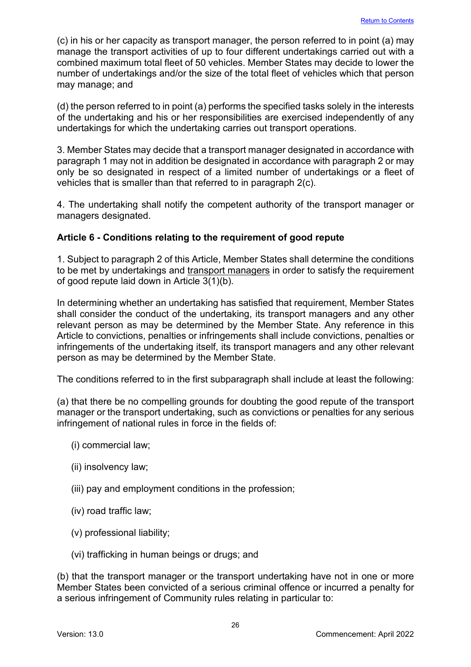(c) in his or her capacity as transport manager, the person referred to in point (a) may manage the transport activities of up to four different undertakings carried out with a combined maximum total fleet of 50 vehicles. Member States may decide to lower the number of undertakings and/or the size of the total fleet of vehicles which that person may manage; and

(d) the person referred to in point (a) performs the specified tasks solely in the interests of the undertaking and his or her responsibilities are exercised independently of any undertakings for which the undertaking carries out transport operations.

3. Member States may decide that a transport manager designated in accordance with paragraph 1 may not in addition be designated in accordance with paragraph 2 or may only be so designated in respect of a limited number of undertakings or a fleet of vehicles that is smaller than that referred to in paragraph 2(c).

4. The undertaking shall notify the competent authority of the transport manager or managers designated.

## **Article 6 - Conditions relating to the requirement of good repute**

1. Subject to paragraph 2 of this Article, Member States shall determine the conditions to be met by undertakings and transport managers in order to satisfy the requirement of good repute laid down in Article 3(1)(b).

In determining whether an undertaking has satisfied that requirement, Member States shall consider the conduct of the undertaking, its transport managers and any other relevant person as may be determined by the Member State. Any reference in this Article to convictions, penalties or infringements shall include convictions, penalties or infringements of the undertaking itself, its transport managers and any other relevant person as may be determined by the Member State.

The conditions referred to in the first subparagraph shall include at least the following:

(a) that there be no compelling grounds for doubting the good repute of the transport manager or the transport undertaking, such as convictions or penalties for any serious infringement of national rules in force in the fields of:

- (i) commercial law;
- (ii) insolvency law;
- (iii) pay and employment conditions in the profession;
- (iv) road traffic law;
- (v) professional liability;
- (vi) trafficking in human beings or drugs; and

(b) that the transport manager or the transport undertaking have not in one or more Member States been convicted of a serious criminal offence or incurred a penalty for a serious infringement of Community rules relating in particular to: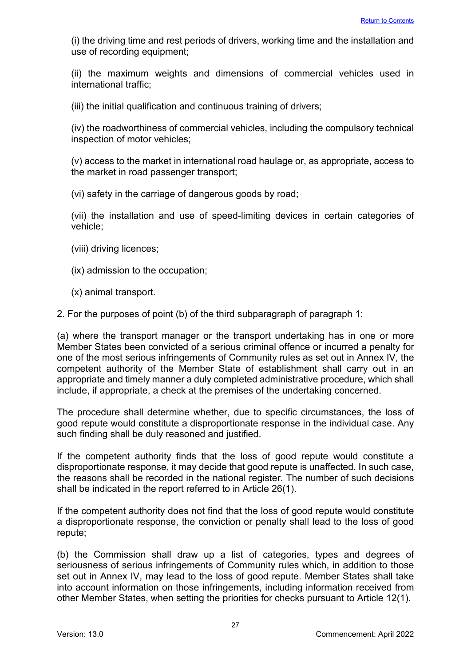(i) the driving time and rest periods of drivers, working time and the installation and use of recording equipment;

(ii) the maximum weights and dimensions of commercial vehicles used in international traffic;

(iii) the initial qualification and continuous training of drivers;

(iv) the roadworthiness of commercial vehicles, including the compulsory technical inspection of motor vehicles;

(v) access to the market in international road haulage or, as appropriate, access to the market in road passenger transport;

(vi) safety in the carriage of dangerous goods by road;

(vii) the installation and use of speed-limiting devices in certain categories of vehicle;

- (viii) driving licences;
- (ix) admission to the occupation;
- (x) animal transport.

2. For the purposes of point (b) of the third subparagraph of paragraph 1:

(a) where the transport manager or the transport undertaking has in one or more Member States been convicted of a serious criminal offence or incurred a penalty for one of the most serious infringements of Community rules as set out in Annex IV, the competent authority of the Member State of establishment shall carry out in an appropriate and timely manner a duly completed administrative procedure, which shall include, if appropriate, a check at the premises of the undertaking concerned.

The procedure shall determine whether, due to specific circumstances, the loss of good repute would constitute a disproportionate response in the individual case. Any such finding shall be duly reasoned and justified.

If the competent authority finds that the loss of good repute would constitute a disproportionate response, it may decide that good repute is unaffected. In such case, the reasons shall be recorded in the national register. The number of such decisions shall be indicated in the report referred to in Article 26(1).

If the competent authority does not find that the loss of good repute would constitute a disproportionate response, the conviction or penalty shall lead to the loss of good repute;

(b) the Commission shall draw up a list of categories, types and degrees of seriousness of serious infringements of Community rules which, in addition to those set out in Annex IV, may lead to the loss of good repute. Member States shall take into account information on those infringements, including information received from other Member States, when setting the priorities for checks pursuant to Article 12(1).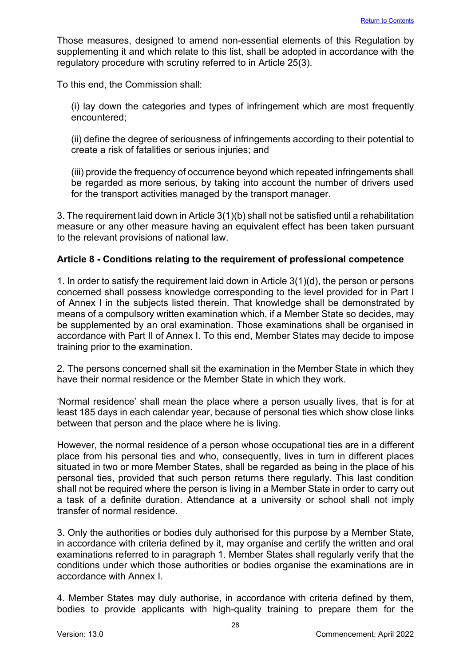Those measures, designed to amend non-essential elements of this Regulation by supplementing it and which relate to this list, shall be adopted in accordance with the regulatory procedure with scrutiny referred to in Article 25(3).

To this end, the Commission shall:

(i) lay down the categories and types of infringement which are most frequently encountered;

(ii) define the degree of seriousness of infringements according to their potential to create a risk of fatalities or serious injuries; and

(iii) provide the frequency of occurrence beyond which repeated infringements shall be regarded as more serious, by taking into account the number of drivers used for the transport activities managed by the transport manager.

3. The requirement laid down in Article 3(1)(b) shall not be satisfied until a rehabilitation measure or any other measure having an equivalent effect has been taken pursuant to the relevant provisions of national law.

## **Article 8 - Conditions relating to the requirement of professional competence**

1. In order to satisfy the requirement laid down in Article 3(1)(d), the person or persons concerned shall possess knowledge corresponding to the level provided for in Part I of Annex I in the subjects listed therein. That knowledge shall be demonstrated by means of a compulsory written examination which, if a Member State so decides, may be supplemented by an oral examination. Those examinations shall be organised in accordance with Part II of Annex I. To this end, Member States may decide to impose training prior to the examination.

2. The persons concerned shall sit the examination in the Member State in which they have their normal residence or the Member State in which they work.

'Normal residence' shall mean the place where a person usually lives, that is for at least 185 days in each calendar year, because of personal ties which show close links between that person and the place where he is living.

However, the normal residence of a person whose occupational ties are in a different place from his personal ties and who, consequently, lives in turn in different places situated in two or more Member States, shall be regarded as being in the place of his personal ties, provided that such person returns there regularly. This last condition shall not be required where the person is living in a Member State in order to carry out a task of a definite duration. Attendance at a university or school shall not imply transfer of normal residence.

3. Only the authorities or bodies duly authorised for this purpose by a Member State, in accordance with criteria defined by it, may organise and certify the written and oral examinations referred to in paragraph 1. Member States shall regularly verify that the conditions under which those authorities or bodies organise the examinations are in accordance with Annex I.

4. Member States may duly authorise, in accordance with criteria defined by them, bodies to provide applicants with high-quality training to prepare them for the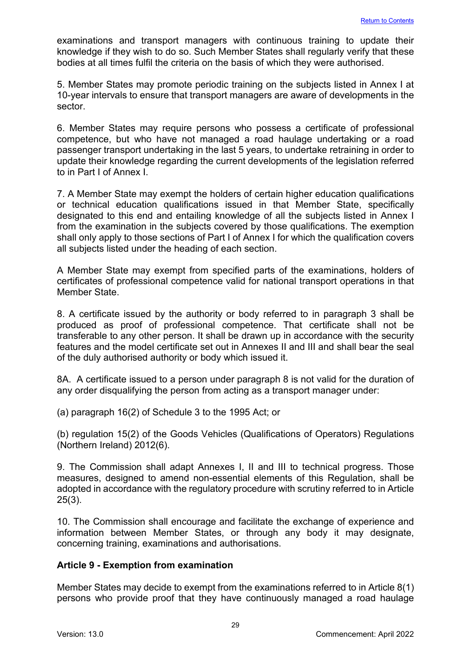examinations and transport managers with continuous training to update their knowledge if they wish to do so. Such Member States shall regularly verify that these bodies at all times fulfil the criteria on the basis of which they were authorised.

5. Member States may promote periodic training on the subjects listed in Annex I at 10-year intervals to ensure that transport managers are aware of developments in the sector.

6. Member States may require persons who possess a certificate of professional competence, but who have not managed a road haulage undertaking or a road passenger transport undertaking in the last 5 years, to undertake retraining in order to update their knowledge regarding the current developments of the legislation referred to in Part I of Annex I.

7. A Member State may exempt the holders of certain higher education qualifications or technical education qualifications issued in that Member State, specifically designated to this end and entailing knowledge of all the subjects listed in Annex I from the examination in the subjects covered by those qualifications. The exemption shall only apply to those sections of Part I of Annex I for which the qualification covers all subjects listed under the heading of each section.

A Member State may exempt from specified parts of the examinations, holders of certificates of professional competence valid for national transport operations in that Member State.

8. A certificate issued by the authority or body referred to in paragraph 3 shall be produced as proof of professional competence. That certificate shall not be transferable to any other person. It shall be drawn up in accordance with the security features and the model certificate set out in Annexes II and III and shall bear the seal of the duly authorised authority or body which issued it.

8A. A certificate issued to a person under paragraph 8 is not valid for the duration of any order disqualifying the person from acting as a transport manager under:

(a) paragraph 16(2) of Schedule 3 to the 1995 Act; or

(b) regulation 15(2) of the Goods Vehicles (Qualifications of Operators) Regulations (Northern Ireland) 2012(6).

9. The Commission shall adapt Annexes I, II and III to technical progress. Those measures, designed to amend non-essential elements of this Regulation, shall be adopted in accordance with the regulatory procedure with scrutiny referred to in Article 25(3).

10. The Commission shall encourage and facilitate the exchange of experience and information between Member States, or through any body it may designate, concerning training, examinations and authorisations.

## **Article 9 - Exemption from examination**

Member States may decide to exempt from the examinations referred to in Article 8(1) persons who provide proof that they have continuously managed a road haulage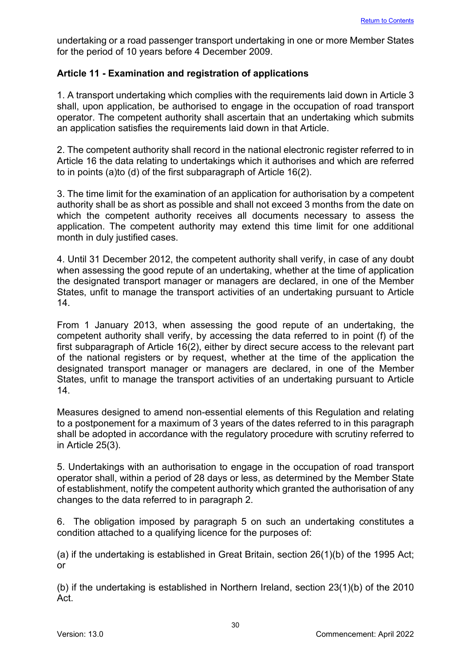undertaking or a road passenger transport undertaking in one or more Member States for the period of 10 years before 4 December 2009.

## **Article 11 - Examination and registration of applications**

1. A transport undertaking which complies with the requirements laid down in Article 3 shall, upon application, be authorised to engage in the occupation of road transport operator. The competent authority shall ascertain that an undertaking which submits an application satisfies the requirements laid down in that Article.

2. The competent authority shall record in the national electronic register referred to in Article 16 the data relating to undertakings which it authorises and which are referred to in points (a)to (d) of the first subparagraph of Article 16(2).

3. The time limit for the examination of an application for authorisation by a competent authority shall be as short as possible and shall not exceed 3 months from the date on which the competent authority receives all documents necessary to assess the application. The competent authority may extend this time limit for one additional month in duly justified cases.

4. Until 31 December 2012, the competent authority shall verify, in case of any doubt when assessing the good repute of an undertaking, whether at the time of application the designated transport manager or managers are declared, in one of the Member States, unfit to manage the transport activities of an undertaking pursuant to Article 14.

From 1 January 2013, when assessing the good repute of an undertaking, the competent authority shall verify, by accessing the data referred to in point (f) of the first subparagraph of Article 16(2), either by direct secure access to the relevant part of the national registers or by request, whether at the time of the application the designated transport manager or managers are declared, in one of the Member States, unfit to manage the transport activities of an undertaking pursuant to Article 14.

Measures designed to amend non-essential elements of this Regulation and relating to a postponement for a maximum of 3 years of the dates referred to in this paragraph shall be adopted in accordance with the regulatory procedure with scrutiny referred to in Article 25(3).

5. Undertakings with an authorisation to engage in the occupation of road transport operator shall, within a period of 28 days or less, as determined by the Member State of establishment, notify the competent authority which granted the authorisation of any changes to the data referred to in paragraph 2.

6. The obligation imposed by paragraph 5 on such an undertaking constitutes a condition attached to a qualifying licence for the purposes of:

(a) if the undertaking is established in Great Britain, section 26(1)(b) of the 1995 Act; or

(b) if the undertaking is established in Northern Ireland, section 23(1)(b) of the 2010 Act.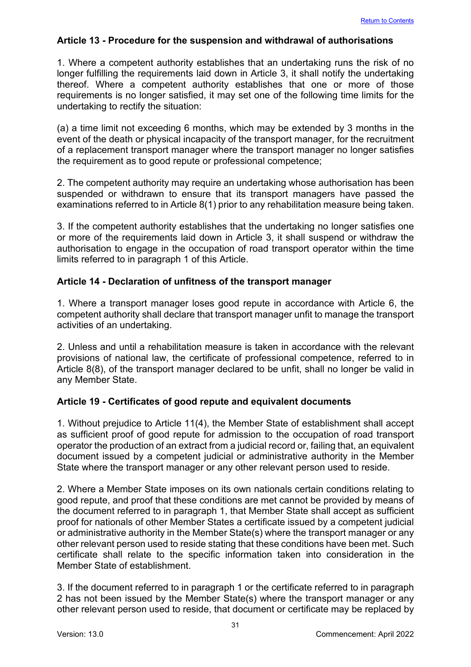## **Article 13 - Procedure for the suspension and withdrawal of authorisations**

1. Where a competent authority establishes that an undertaking runs the risk of no longer fulfilling the requirements laid down in Article 3, it shall notify the undertaking thereof. Where a competent authority establishes that one or more of those requirements is no longer satisfied, it may set one of the following time limits for the undertaking to rectify the situation:

(a) a time limit not exceeding 6 months, which may be extended by 3 months in the event of the death or physical incapacity of the transport manager, for the recruitment of a replacement transport manager where the transport manager no longer satisfies the requirement as to good repute or professional competence;

2. The competent authority may require an undertaking whose authorisation has been suspended or withdrawn to ensure that its transport managers have passed the examinations referred to in Article 8(1) prior to any rehabilitation measure being taken.

3. If the competent authority establishes that the undertaking no longer satisfies one or more of the requirements laid down in Article 3, it shall suspend or withdraw the authorisation to engage in the occupation of road transport operator within the time limits referred to in paragraph 1 of this Article.

## **Article 14 - Declaration of unfitness of the transport manager**

1. Where a transport manager loses good repute in accordance with Article 6, the competent authority shall declare that transport manager unfit to manage the transport activities of an undertaking.

2. Unless and until a rehabilitation measure is taken in accordance with the relevant provisions of national law, the certificate of professional competence, referred to in Article 8(8), of the transport manager declared to be unfit, shall no longer be valid in any Member State.

## **Article 19 - Certificates of good repute and equivalent documents**

1. Without prejudice to Article 11(4), the Member State of establishment shall accept as sufficient proof of good repute for admission to the occupation of road transport operator the production of an extract from a judicial record or, failing that, an equivalent document issued by a competent judicial or administrative authority in the Member State where the transport manager or any other relevant person used to reside.

2. Where a Member State imposes on its own nationals certain conditions relating to good repute, and proof that these conditions are met cannot be provided by means of the document referred to in paragraph 1, that Member State shall accept as sufficient proof for nationals of other Member States a certificate issued by a competent judicial or administrative authority in the Member State(s) where the transport manager or any other relevant person used to reside stating that these conditions have been met. Such certificate shall relate to the specific information taken into consideration in the Member State of establishment.

3. If the document referred to in paragraph 1 or the certificate referred to in paragraph 2 has not been issued by the Member State(s) where the transport manager or any other relevant person used to reside, that document or certificate may be replaced by

31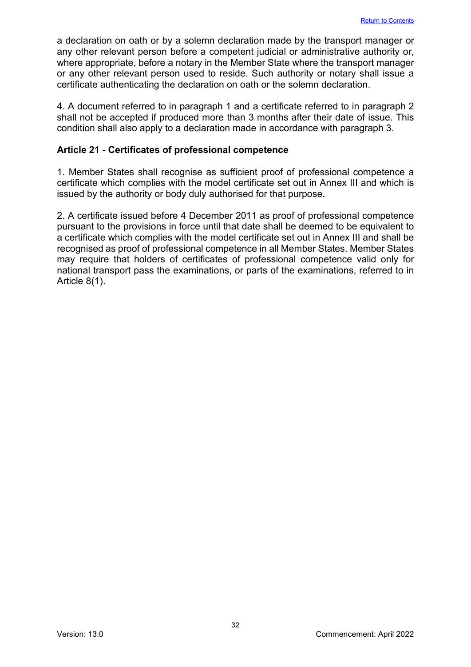a declaration on oath or by a solemn declaration made by the transport manager or any other relevant person before a competent judicial or administrative authority or, where appropriate, before a notary in the Member State where the transport manager or any other relevant person used to reside. Such authority or notary shall issue a certificate authenticating the declaration on oath or the solemn declaration.

4. A document referred to in paragraph 1 and a certificate referred to in paragraph 2 shall not be accepted if produced more than 3 months after their date of issue. This condition shall also apply to a declaration made in accordance with paragraph 3.

## **Article 21 - Certificates of professional competence**

1. Member States shall recognise as sufficient proof of professional competence a certificate which complies with the model certificate set out in Annex III and which is issued by the authority or body duly authorised for that purpose.

2. A certificate issued before 4 December 2011 as proof of professional competence pursuant to the provisions in force until that date shall be deemed to be equivalent to a certificate which complies with the model certificate set out in Annex III and shall be recognised as proof of professional competence in all Member States. Member States may require that holders of certificates of professional competence valid only for national transport pass the examinations, or parts of the examinations, referred to in Article 8(1).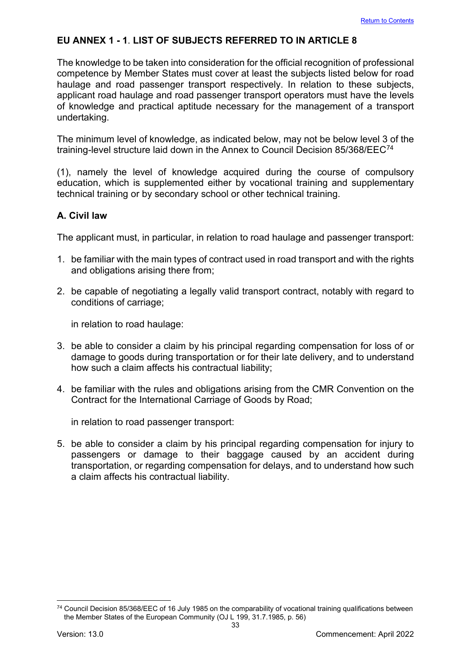## **EU ANNEX 1 - 1**. **LIST OF SUBJECTS REFERRED TO IN ARTICLE 8**

The knowledge to be taken into consideration for the official recognition of professional competence by Member States must cover at least the subjects listed below for road haulage and road passenger transport respectively. In relation to these subjects, applicant road haulage and road passenger transport operators must have the levels of knowledge and practical aptitude necessary for the management of a transport undertaking.

The minimum level of knowledge, as indicated below, may not be below level 3 of the training-level structure laid down in the Annex to Council Decision 85/368/EEC[74](#page-33-0) 

(1), namely the level of knowledge acquired during the course of compulsory education, which is supplemented either by vocational training and supplementary technical training or by secondary school or other technical training.

## **A. Civil law**

The applicant must, in particular, in relation to road haulage and passenger transport:

- 1. be familiar with the main types of contract used in road transport and with the rights and obligations arising there from;
- 2. be capable of negotiating a legally valid transport contract, notably with regard to conditions of carriage;

in relation to road haulage:

- 3. be able to consider a claim by his principal regarding compensation for loss of or damage to goods during transportation or for their late delivery, and to understand how such a claim affects his contractual liability;
- 4. be familiar with the rules and obligations arising from the CMR Convention on the Contract for the International Carriage of Goods by Road;

in relation to road passenger transport:

5. be able to consider a claim by his principal regarding compensation for injury to passengers or damage to their baggage caused by an accident during transportation, or regarding compensation for delays, and to understand how such a claim affects his contractual liability.

<span id="page-33-0"></span><sup>&</sup>lt;sup>74</sup> Council Decision 85/368/EEC of 16 July 1985 on the comparability of vocational training qualifications between the Member States of the European Community (OJ L 199, 31.7.1985, p. 56)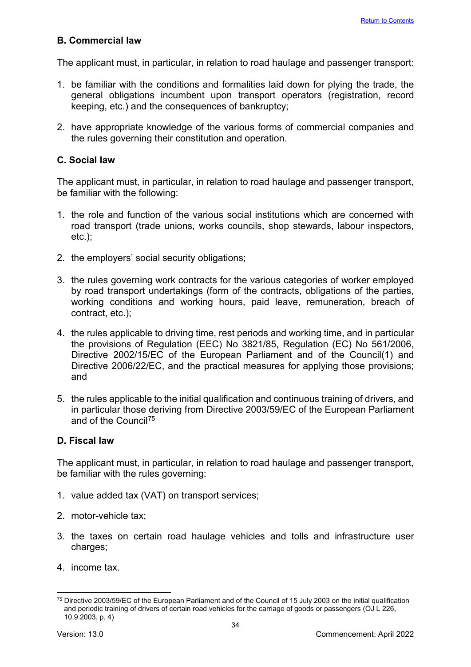## **B. Commercial law**

The applicant must, in particular, in relation to road haulage and passenger transport:

- 1. be familiar with the conditions and formalities laid down for plying the trade, the general obligations incumbent upon transport operators (registration, record keeping, etc.) and the consequences of bankruptcy;
- 2. have appropriate knowledge of the various forms of commercial companies and the rules governing their constitution and operation.

## **C. Social law**

The applicant must, in particular, in relation to road haulage and passenger transport, be familiar with the following:

- 1. the role and function of the various social institutions which are concerned with road transport (trade unions, works councils, shop stewards, labour inspectors, etc.);
- 2. the employers' social security obligations;
- 3. the rules governing work contracts for the various categories of worker employed by road transport undertakings (form of the contracts, obligations of the parties, working conditions and working hours, paid leave, remuneration, breach of contract, etc.);
- 4. the rules applicable to driving time, rest periods and working time, and in particular the provisions of Regulation (EEC) No 3821/85, Regulation (EC) No 561/2006, Directive 2002/15/EC of the European Parliament and of the Council(1) and Directive 2006/22/EC, and the practical measures for applying those provisions; and
- 5. the rules applicable to the initial qualification and continuous training of drivers, and in particular those deriving from Directive 2003/59/EC of the European Parliament and of the Council[75](#page-34-0)

## **D. Fiscal law**

The applicant must, in particular, in relation to road haulage and passenger transport, be familiar with the rules governing:

- 1. value added tax (VAT) on transport services;
- 2. motor-vehicle tax;
- 3. the taxes on certain road haulage vehicles and tolls and infrastructure user charges;
- 4. income tax.

<span id="page-34-0"></span><sup>&</sup>lt;sup>75</sup> Directive 2003/59/EC of the European Parliament and of the Council of 15 July 2003 on the initial qualification and periodic training of drivers of certain road vehicles for the carriage of goods or passengers (OJ L 226, 10.9.2003, p. 4)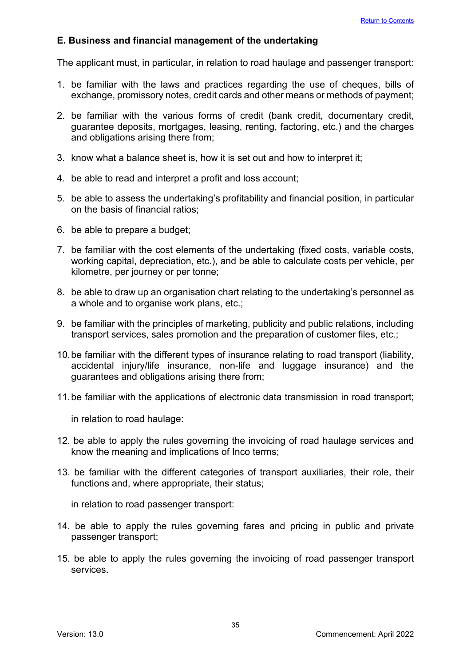## **E. Business and financial management of the undertaking**

The applicant must, in particular, in relation to road haulage and passenger transport:

- 1. be familiar with the laws and practices regarding the use of cheques, bills of exchange, promissory notes, credit cards and other means or methods of payment;
- 2. be familiar with the various forms of credit (bank credit, documentary credit, guarantee deposits, mortgages, leasing, renting, factoring, etc.) and the charges and obligations arising there from;
- 3. know what a balance sheet is, how it is set out and how to interpret it;
- 4. be able to read and interpret a profit and loss account;
- 5. be able to assess the undertaking's profitability and financial position, in particular on the basis of financial ratios;
- 6. be able to prepare a budget;
- 7. be familiar with the cost elements of the undertaking (fixed costs, variable costs, working capital, depreciation, etc.), and be able to calculate costs per vehicle, per kilometre, per journey or per tonne;
- 8. be able to draw up an organisation chart relating to the undertaking's personnel as a whole and to organise work plans, etc.;
- 9. be familiar with the principles of marketing, publicity and public relations, including transport services, sales promotion and the preparation of customer files, etc.;
- 10.be familiar with the different types of insurance relating to road transport (liability, accidental injury/life insurance, non-life and luggage insurance) and the guarantees and obligations arising there from;
- 11.be familiar with the applications of electronic data transmission in road transport;

in relation to road haulage:

- 12. be able to apply the rules governing the invoicing of road haulage services and know the meaning and implications of Inco terms;
- 13. be familiar with the different categories of transport auxiliaries, their role, their functions and, where appropriate, their status;

in relation to road passenger transport:

- 14. be able to apply the rules governing fares and pricing in public and private passenger transport;
- 15. be able to apply the rules governing the invoicing of road passenger transport services.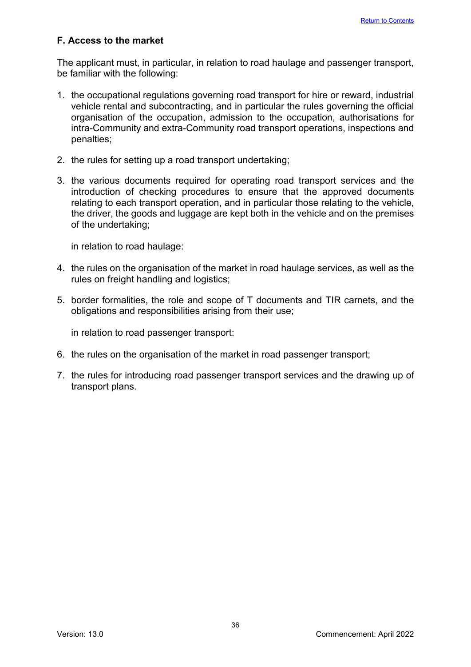## **F. Access to the market**

The applicant must, in particular, in relation to road haulage and passenger transport, be familiar with the following:

- 1. the occupational regulations governing road transport for hire or reward, industrial vehicle rental and subcontracting, and in particular the rules governing the official organisation of the occupation, admission to the occupation, authorisations for intra-Community and extra-Community road transport operations, inspections and penalties;
- 2. the rules for setting up a road transport undertaking;
- 3. the various documents required for operating road transport services and the introduction of checking procedures to ensure that the approved documents relating to each transport operation, and in particular those relating to the vehicle, the driver, the goods and luggage are kept both in the vehicle and on the premises of the undertaking;

in relation to road haulage:

- 4. the rules on the organisation of the market in road haulage services, as well as the rules on freight handling and logistics;
- 5. border formalities, the role and scope of T documents and TIR carnets, and the obligations and responsibilities arising from their use;

in relation to road passenger transport:

- 6. the rules on the organisation of the market in road passenger transport;
- 7. the rules for introducing road passenger transport services and the drawing up of transport plans.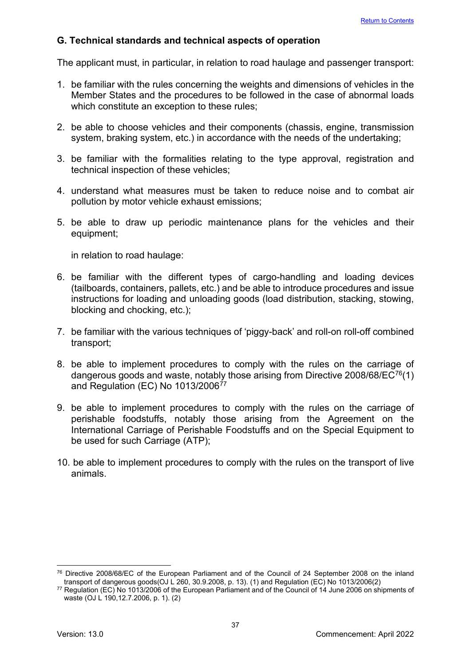## **G. Technical standards and technical aspects of operation**

The applicant must, in particular, in relation to road haulage and passenger transport:

- 1. be familiar with the rules concerning the weights and dimensions of vehicles in the Member States and the procedures to be followed in the case of abnormal loads which constitute an exception to these rules;
- 2. be able to choose vehicles and their components (chassis, engine, transmission system, braking system, etc.) in accordance with the needs of the undertaking;
- 3. be familiar with the formalities relating to the type approval, registration and technical inspection of these vehicles;
- 4. understand what measures must be taken to reduce noise and to combat air pollution by motor vehicle exhaust emissions;
- 5. be able to draw up periodic maintenance plans for the vehicles and their equipment;

in relation to road haulage:

- 6. be familiar with the different types of cargo-handling and loading devices (tailboards, containers, pallets, etc.) and be able to introduce procedures and issue instructions for loading and unloading goods (load distribution, stacking, stowing, blocking and chocking, etc.);
- 7. be familiar with the various techniques of 'piggy-back' and roll-on roll-off combined transport;
- 8. be able to implement procedures to comply with the rules on the carriage of dangerous goods and waste, notably those arising from Directive 2008/68/EC[76\(](#page-37-0)1) and Regulation (EC) No  $1013/2006^{77}$  $1013/2006^{77}$  $1013/2006^{77}$
- 9. be able to implement procedures to comply with the rules on the carriage of perishable foodstuffs, notably those arising from the Agreement on the International Carriage of Perishable Foodstuffs and on the Special Equipment to be used for such Carriage (ATP);
- 10. be able to implement procedures to comply with the rules on the transport of live animals.

<span id="page-37-0"></span><sup>76</sup> Directive 2008/68/EC of the European Parliament and of the Council of 24 September 2008 on the inland transport of dangerous goods(OJ L 260, 30.9.2008, p. 13). (1) and Regulation (EC) No 1013/2006(2)

<span id="page-37-1"></span><sup>77</sup> Regulation (EC) No 1013/2006 of the European Parliament and of the Council of 14 June 2006 on shipments of waste (OJ L 190,12.7.2006, p. 1). (2)